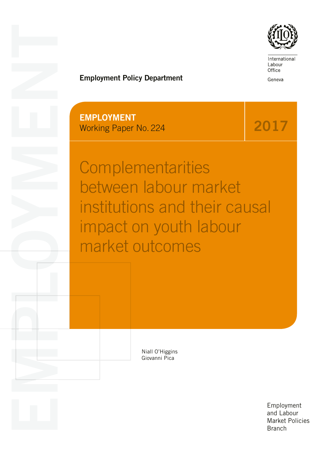

International Labour Office

Geneva

# Employment Policy Department

EMPLOYMENT Working Paper No. 224

EMPLOYMENT CONTROL

2017

**Complementarities** between labour market institutions and their causal impact on youth labour market outcomes

> Niall O'Higgins Giovanni Pica

> > Employment and Labour Market Policies **Branch**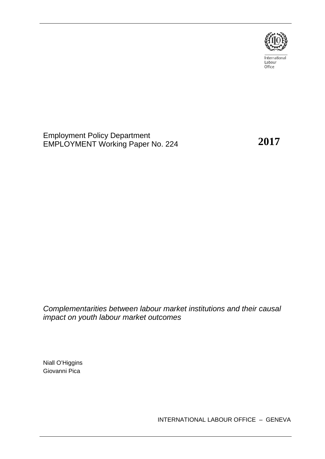

International Labour<br>Office

Employment Policy Department EMPLOYMENT Working Paper No. 224

**2017**

*Complementarities between labour market institutions and their causal impact on youth labour market outcomes*

Niall O'Higgins Giovanni Pica

INTERNATIONAL LABOUR OFFICE – GENEVA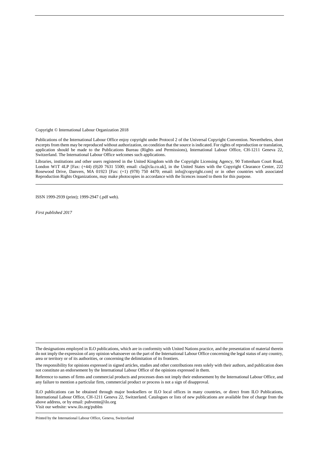Copyright © International Labour Organization 2018

Publications of the International Labour Office enjoy copyright under Protocol 2 of the Universal Copyright Convention. Nevertheless, short excerpts from them may be reproduced without authorization, on condition that the source is indicated. For rights of reproduction or translation, application should be made to the Publications Bureau (Rights and Permissions), International Labour Office, CH-1211 Geneva 22, Switzerland. The International Labour Office welcomes such applications.

Libraries, institutions and other users registered in the United Kingdom with the Copyright Licensing Agency, 90 Tottenham Court Road, London W1T 4LP [Fax: (+44) (0)20 7631 5500; email: cla@cla.co.uk], in the United States with the Copyright Clearance Center, 222 Rosewood Drive, Danvers, MA 01923 [Fax: (+1) (978) 750 4470; email: info@copyright.com] or in other countries with associated Reproduction Rights Organizations, may make photocopies in accordance with the licences issued to them for this purpose.

ISSN 1999-2939 (print); 1999-2947 (.pdf web).

*First published 2017*

The designations employed in ILO publications, which are in conformity with United Nations practice, and the presentation of material therein do not imply the expression of any opinion whatsoever on the part of the International Labour Office concerning the legal status of any country, area or territory or of its authorities, or concerning the delimitation of its frontiers.

The responsibility for opinions expressed in signed articles, studies and other contributions rests solely with their authors, and publication does not constitute an endorsement by the International Labour Office of the opinions expressed in them.

Reference to names of firms and commercial products and processes does not imply their endorsement by the International Labour Office, and any failure to mention a particular firm, commercial product or process is not a sign of disapproval.

ILO publications can be obtained through major booksellers or ILO local offices in many countries, or direct from ILO Publications, International Labour Office, CH-1211 Geneva 22, Switzerland. Catalogues or lists of new publications are available free of charge from the above address, or by email: pubvente@ilo.org Visit our website: www.ilo.org/publns

Printed by the International Labour Office, Geneva, Switzerland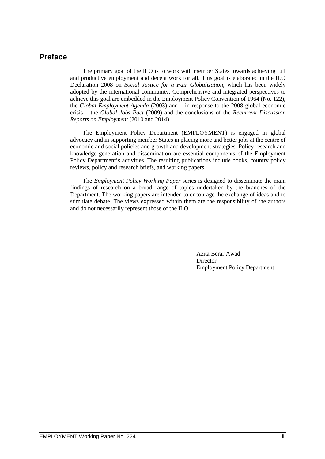## **Preface**

The primary goal of the ILO is to work with member States towards achieving full and productive employment and decent work for all. This goal is elaborated in the ILO Declaration 2008 on *Social Justice for a Fair Globalization*, which has been widely adopted by the international community. Comprehensive and integrated perspectives to achieve this goal are embedded in the Employment Policy Convention of 1964 (No. 122), the *Global Employment Agenda* (2003) and – in response to the 2008 global economic crisis – the *Global Jobs Pact* (2009) and the conclusions of the *Recurrent Discussion Reports on Employment* (2010 and 2014).

The Employment Policy Department (EMPLOYMENT) is engaged in global advocacy and in supporting member States in placing more and better jobs at the centre of economic and social policies and growth and development strategies. Policy research and knowledge generation and dissemination are essential components of the Employment Policy Department's activities. The resulting publications include books, country policy reviews, policy and research briefs, and working papers.

The *Employment Policy Working Paper* series is designed to disseminate the main findings of research on a broad range of topics undertaken by the branches of the Department. The working papers are intended to encourage the exchange of ideas and to stimulate debate. The views expressed within them are the responsibility of the authors and do not necessarily represent those of the ILO.

> Azita Berar Awad Director Employment Policy Department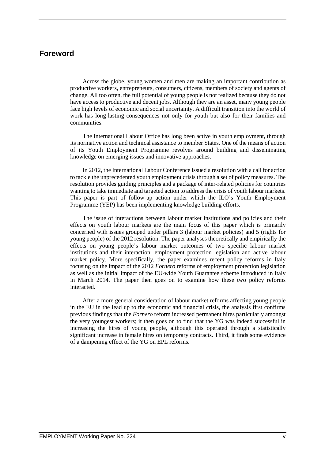## **Foreword**

Across the globe, young women and men are making an important contribution as productive workers, entrepreneurs, consumers, citizens, members of society and agents of change. All too often, the full potential of young people is not realized because they do not have access to productive and decent jobs. Although they are an asset, many young people face high levels of economic and social uncertainty. A difficult transition into the world of work has long-lasting consequences not only for youth but also for their families and communities.

The International Labour Office has long been active in youth employment, through its normative action and technical assistance to member States. One of the means of action of its Youth Employment Programme revolves around building and disseminating knowledge on emerging issues and innovative approaches.

In 2012, the International Labour Conference issued a resolution with a call for action to tackle the unprecedented youth employment crisis through a set of policy measures. The resolution provides guiding principles and a package of inter-related policies for countries wanting to take immediate and targeted action to address the crisis of youth labour markets. This paper is part of follow-up action under which the ILO's Youth Employment Programme (YEP) has been implementing knowledge building efforts.

The issue of interactions between labour market institutions and policies and their effects on youth labour markets are the main focus of this paper which is primarily concerned with issues grouped under pillars 3 (labour market policies) and 5 (rights for young people) of the 2012 resolution. The paper analyses theoretically and empirically the effects on young people's labour market outcomes of two specific labour market institutions and their interaction: employment protection legislation and active labour market policy. More specifically, the paper examines recent policy reforms in Italy focusing on the impact of the 2012 *Fornero* reforms of employment protection legislation as well as the initial impact of the EU-wide Youth Guarantee scheme introduced in Italy in March 2014. The paper then goes on to examine how these two policy reforms interacted.

After a more general consideration of labour market reforms affecting young people in the EU in the lead up to the economic and financial crisis, the analysis first confirms previous findings that the *Fornero* reform increased permanent hires particularly amongst the very youngest workers; it then goes on to find that the YG was indeed successful in increasing the hires of young people, although this operated through a statistically significant increase in female hires on temporary contracts. Third, it finds some evidence of a dampening effect of the YG on EPL reforms.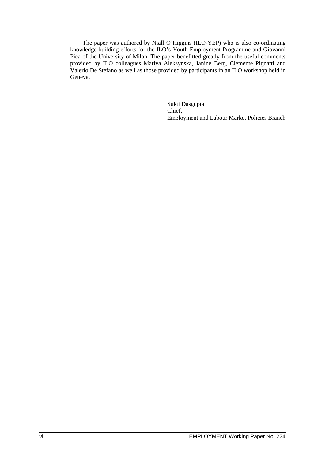The paper was authored by Niall O'Higgins (ILO-YEP) who is also co-ordinating knowledge-building efforts for the ILO's Youth Employment Programme and Giovanni Pica of the University of Milan. The paper benefitted greatly from the useful comments provided by ILO colleagues Mariya Aleksynska, Janine Berg, Clemente Pignatti and Valerio De Stefano as well as those provided by participants in an ILO workshop held in Geneva.

> Sukti Dasgupta Chief, Employment and Labour Market Policies Branch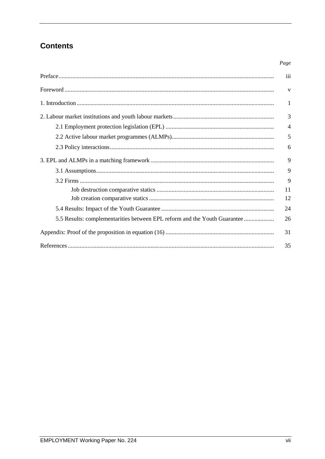## **Contents**

### Page

|                                                                           | iii            |
|---------------------------------------------------------------------------|----------------|
|                                                                           | $\mathbf{V}$   |
|                                                                           | $\mathbf{1}$   |
|                                                                           | 3              |
|                                                                           | $\overline{4}$ |
|                                                                           | 5              |
|                                                                           | 6              |
|                                                                           | 9              |
|                                                                           | 9              |
|                                                                           | 9              |
|                                                                           | 11             |
|                                                                           | 12             |
|                                                                           | 24             |
| 5.5 Results: complementarities between EPL reform and the Youth Guarantee | 26             |
|                                                                           | 31             |
|                                                                           | 35             |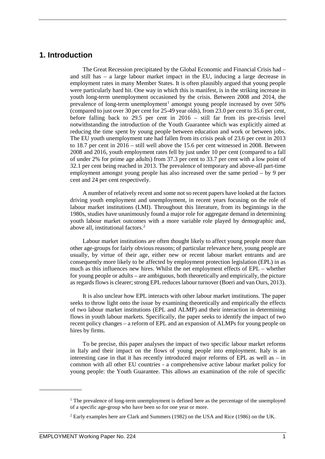## **1. Introduction**

The Great Recession precipitated by the Global Economic and Financial Crisis had – and still has – a large labour market impact in the EU, inducing a large decrease in employment rates in many Member States. It is often plausibly argued that young people were particularly hard hit. One way in which this is manifest, is in the striking increase in youth long-term unemployment occasioned by the crisis. Between 2008 and 2014, the prevalence of long-term unemployment<sup>[1](#page-9-0)</sup> amongst young people increased by over  $50\%$ (compared to just over 30 per cent for 25-49 year olds), from 23.0 per cent to 35.6 per cent, before falling back to 29.5 per cent in 2016 – still far from its pre-crisis level notwithstanding the introduction of the Youth Guarantee which was explicitly aimed at reducing the time spent by young people between education and work or between jobs. The EU youth unemployment rate had fallen from its crisis peak of 23.6 per cent in 2013 to 18.7 per cent in 2016 – still well above the 15.6 per cent witnessed in 2008. Between 2008 and 2016, youth employment rates fell by just under 10 per cent (compared to a fall of under 2% for prime age adults) from 37.3 per cent to 33.7 per cent with a low point of 32.1 per cent being reached in 2013. The prevalence of temporary and above-all part-time employment amongst young people has also increased over the same period – by 9 per cent and 24 per cent respectively.

A number of relatively recent and some not so recent papers have looked at the factors driving youth employment and unemployment, in recent years focusing on the role of labour market institutions (LMI). Throughout this literature, from its beginnings in the 1980s, studies have unanimously found a major role for aggregate demand in determining youth labour market outcomes with a more variable role played by demographic and, above all, institutional factors.[2](#page-9-1)

Labour market institutions are often thought likely to affect young people more than other age-groups for fairly obvious reasons; of particular relevance here, young people are usually, by virtue of their age, either new or recent labour market entrants and are consequently more likely to be affected by employment protection legislation (EPL) in as much as this influences new hires. Whilst the net employment effects of EPL – whether for young people or adults – are ambiguous, both theoretically and empirically, the picture as regards flows is clearer; strong EPL reduces labour turnover (Boeri and van Ours, 2013).

It is also unclear how EPL interacts with other labour market institutions. The paper seeks to throw light onto the issue by examining theoretically and empirically the effects of two labour market institutions (EPL and ALMP) and their interaction in determining flows in youth labour markets. Specifically, the paper seeks to identify the impact of two recent policy changes – a reform of EPL and an expansion of ALMPs for young people on hires by firms.

To be precise, this paper analyses the impact of two specific labour market reforms in Italy and their impact on the flows of young people into employment. Italy is an interesting case in that it has recently introduced major reforms of EPL as well as – in common with all other EU countries - a comprehensive active labour market policy for young people: the Youth Guarantee. This allows an examination of the role of specific

<span id="page-9-0"></span><sup>&</sup>lt;sup>1</sup> The prevalence of long-term unemployment is defined here as the percentage of the unemployed of a specific age-group who have been so for one year or more.

<span id="page-9-1"></span><sup>2</sup> Early examples here are Clark and Summers (1982) on the USA and Rice (1986) on the UK.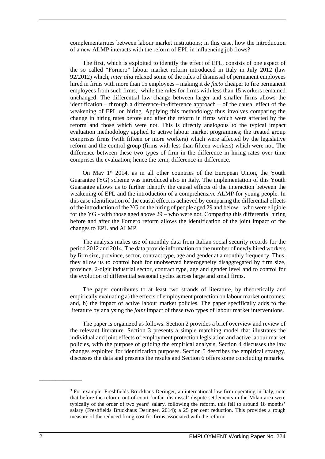complementarities between labour market institutions; in this case, how the introduction of a new ALMP interacts with the reform of EPL in influencing job flows?

The first, which is exploited to identify the effect of EPL, consists of one aspect of the so called "Fornero" labour market reform introduced in Italy in July 2012 (law 92/2012) which, *inter alia* relaxed some of the rules of dismissal of permanent employees hired in firms with more than 15 employees – making it *de facto* cheaper to fire permanent employees from such firms, $3$  while the rules for firms with less than 15 workers remained unchanged. The differential law change between larger and smaller firms allows the identification – through a difference-in-difference approach – of the causal effect of the weakening of EPL on hiring. Applying this methodology thus involves comparing the change in hiring rates before and after the reform in firms which were affected by the reform and those which were not. This is directly analogous to the typical impact evaluation methodology applied to active labour market programmes; the treated group comprises firms (with fifteen or more workers) which were affected by the legislative reform and the control group (firms with less than fifteen workers) which were not. The difference between these two types of firm in the difference in hiring rates over time comprises the evaluation; hence the term, difference-in-difference.

On May 1<sup>st</sup> 2014, as in all other countries of the European Union, the Youth Guarantee (YG) scheme was introduced also in Italy. The implementation of this Youth Guarantee allows us to further identify the causal effects of the interaction between the weakening of EPL and the introduction of a comprehensive ALMP for young people. In this case identification of the causal effect is achieved by comparing the differential effects of the introduction of the YG on the hiring of people aged 29 and below – who were eligible for the YG - with those aged above 29 – who were not. Comparing this differential hiring before and after the Fornero reform allows the identification of the joint impact of the changes to EPL and ALMP.

The analysis makes use of monthly data from Italian social security records for the period 2012 and 2014. The data provide information on the number of newly hired workers by firm size, province, sector, contract type, age and gender at a monthly frequency. Thus, they allow us to control both for unobserved heterogeneity disaggregated by firm size, province, 2-digit industrial sector, contract type, age and gender level and to control for the evolution of differential seasonal cycles across large and small firms.

The paper contributes to at least two strands of literature, by theoretically and empirically evaluating a) the effects of employment protection on labour market outcomes; and, b) the impact of active labour market policies. The paper specifically adds to the literature by analysing the *joint* impact of these two types of labour market interventions.

The paper is organized as follows. Section 2 provides a brief overview and review of the relevant literature. Section 3 presents a simple matching model that illustrates the individual and joint effects of employment protection legislation and active labour market policies, with the purpose of guiding the empirical analysis. Section 4 discusses the law changes exploited for identification purposes. Section 5 describes the empirical strategy, discusses the data and presents the results and Section 6 offers some concluding remarks.

<span id="page-10-0"></span><sup>3</sup> For example, Freshfields Bruckhaus Deringer, an international law firm operating in Italy, note that before the reform, out-of-court 'unfair dismissal' dispute settlements in the Milan area were typically of the order of two years' salary, following the reform, this fell to around 18 months' salary (Freshfields Bruckhaus Deringer, 2014); a 25 per cent reduction. This provides a rough measure of the reduced firing cost for firms associated with the reform.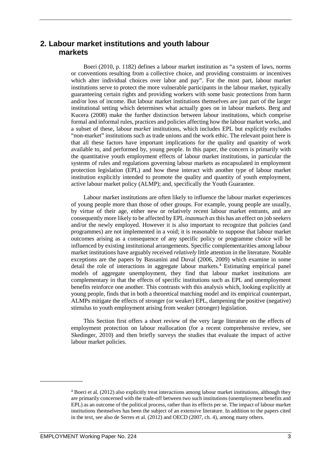## **2. Labour market institutions and youth labour markets**

Boeri (2010, p. 1182) defines a labour market institution as "a system of laws, norms or conventions resulting from a collective choice, and providing constraints or incentives which alter individual choices over labor and pay". For the most part, labour market institutions serve to protect the more vulnerable participants in the labour market, typically guaranteeing certain rights and providing workers with some basic protections from harm and/or loss of income. But labour market institutions themselves are just part of the larger institutional setting which determines what actually goes on in labour markets. Berg and Kucera (2008) make the further distinction between labour institutions, which comprise formal and informal rules, practices and policies affecting how the labour market works, and a subset of these, labour *market* institutions, which includes EPL but explicitly excludes "non-market" institutions such as trade unions and the work ethic. The relevant point here is that all these factors have important implications for the quality and quantity of work available to, and performed by, young people. In this paper, the concern is primarily with the quantitative youth employment effects of labour market institutions, in particular the systems of rules and regulations governing labour markets as encapsulated in employment protection legislation (EPL) and how these interact with another type of labour market institution explicitly intended to promote the quality and quantity of youth employment, active labour market policy (ALMP); and, specifically the Youth Guarantee.

Labour market institutions are often likely to influence the labour market experiences of young people more than those of other groups. For example, young people are usually, by virtue of their age, either new or relatively recent labour market entrants, and are consequently more likely to be affected by EPL *inasmuch as* this has an effect on job seekers and/or the newly employed. However it is also important to recognize that policies (and programmes) are not implemented in a void; it is reasonable to suppose that labour market outcomes arising as a consequence of any specific policy or programme choice will be influenced by existing institutional arrangements. Specific complementarities among labour market institutions have arguably received *relatively* little attention in the literature. Notable exceptions are the papers by Bassanini and Duval (2006, 2009) which examine in some detail the role of interactions in aggregate labour markets.<sup>[4](#page-11-0)</sup> Estimating empirical panel models of aggregate unemployment, they find that labour market institutions are complementary in that the effects of specific institutions such as EPL and unemployment benefits reinforce one another. This contrasts with this analysis which, looking explicitly at young people, finds that in both a theoretical matching model and its empirical counterpart, ALMPs mitigate the effects of stronger (or weaker) EPL, dampening the positive (negative) stimulus to youth employment arising from weaker (stronger) legislation.

This Section first offers a short review of the very large literature on the effects of employment protection on labour reallocation (for a recent comprehensive review, see Skedinger, 2010) and then briefly surveys the studies that evaluate the impact of active labour market policies.

<span id="page-11-0"></span><sup>4</sup> Boeri et al. (2012) also explicitly treat interactions among labour market institutions, although they are primarily concerned with the trade-off between two such institutions (unemployment benefits and EPL) as an outcome of the political process, rather than its effects per se. The impact of labour market institutions themselves has been the subject of an extensive literature. In addition to the papers cited in the text, see also de Serres et al. (2012) and OECD (2007, ch. 4), among many others.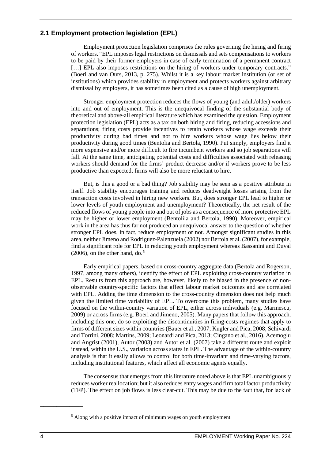## **2.1 Employment protection legislation (EPL)**

Employment protection legislation comprises the rules governing the hiring and firing of workers. "EPL imposes legal restrictions on dismissals and sets compensations to workers to be paid by their former employers in case of early termination of a permanent contract [...] EPL also imposes restrictions on the hiring of workers under temporary contracts." (Boeri and van Ours, 2013, p. 275). Whilst it is a key labour market institution (or set of institutions) which provides stability in employment and protects workers against arbitrary dismissal by employers, it has sometimes been cited as a cause of high unemployment.

Stronger employment protection reduces the flows of young (and adult/older) workers into and out of employment. This is the unequivocal finding of the substantial body of theoretical and above-all empirical literature which has examined the question. Employment protection legislation (EPL) acts as a tax on both hiring and firing, reducing accessions and separations; firing costs provide incentives to retain workers whose wage exceeds their productivity during bad times and not to hire workers whose wage lies below their productivity during good times (Bentolia and Bertola, 1990). Put simply, employers find it more expensive and/or more difficult to fire incumbent workers and so job separations will fall. At the same time, anticipating potential costs and difficulties associated with releasing workers should demand for the firms' product decrease and/or if workers prove to be less productive than expected, firms will also be more reluctant to hire.

But, is this a good or a bad thing? Job stability may be seen as a positive attribute in itself. Job stability encourages training and reduces deadweight losses arising from the transaction costs involved in hiring new workers. But, does stronger EPL lead to higher or lower levels of youth employment and unemployment? Theoretically, the net result of the reduced flows of young people into and out of jobs as a consequence of more protective EPL may be higher or lower employment (Bentolila and Bertola, 1990). Moreover, empirical work in the area has thus far not produced an unequivocal answer to the question of whether stronger EPL does, in fact, reduce employment or not. Amongst significant studies in this area, neither Jimeno and Rodriguez-Palenzuela (2002) nor Bertola et al. (2007), for example, find a significant role for EPL in reducing youth employment whereas Bassanini and Duval  $(2006)$ , on the other hand, do.<sup>[5](#page-12-0)</sup>

Early empirical papers, based on cross-country aggregate data (Bertola and Rogerson, 1997, among many others), identify the effect of EPL exploiting cross-country variation in EPL. Results from this approach are, however, likely to be biased in the presence of nonobservable country-specific factors that affect labour market outcomes and are correlated with EPL. Adding the time dimension to the cross-country dimension does not help much given the limited time variability of EPL. To overcome this problem, many studies have focused on the within-country variation of EPL, either across individuals (e.g. Marinescu, 2009) or across firms (e.g. Boeri and Jimeno, 2005). Many papers that follow this approach, including this one, do so exploiting the discontinuities in firing-costs regimes that apply to firms of different sizes within countries (Bauer et al., 2007; Kugler and Pica, 2008; Schivardi and Torrini, 2008; Martins, 2009; Leonardi and Pica, 2013; Cingano et al., 2016). Acemoglu and Angrist (2001), Autor (2003) and Autor et al. (2007) take a different route and exploit instead, within the U.S., variation across states in EPL. The advantage of the within-country analysis is that it easily allows to control for both time-invariant and time-varying factors, including institutional features, which affect all economic agents equally.

The consensus that emerges from this literature noted above is that EPL unambiguously reduces worker reallocation; but it also reduces entry wages and firm total factor productivity (TFP). The effect on job flows is less clear-cut. This may be due to the fact that, for lack of

<span id="page-12-0"></span><sup>5</sup> Along with a positive impact of minimum wages on youth employment.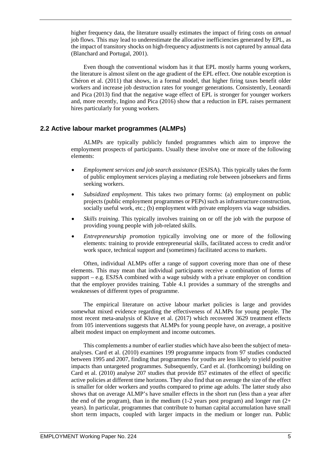higher frequency data, the literature usually estimates the impact of firing costs on *annual* job flows. This may lead to underestimate the allocative inefficiencies generated by EPL, as the impact of transitory shocks on high-frequency adjustments is not captured by annual data (Blanchard and Portugal, 2001).

Even though the conventional wisdom has it that EPL mostly harms young workers, the literature is almost silent on the age gradient of the EPL effect. One notable exception is Chéron et al. (2011) that shows, in a formal model, that higher firing taxes benefit older workers and increase job destruction rates for younger generations. Consistently, Leonardi and Pica (2013) find that the negative wage effect of EPL is stronger for younger workers and, more recently, Ingino and Pica (2016) show that a reduction in EPL raises permanent hires particularly for young workers.

## **2.2 Active labour market programmes (ALMPs)**

ALMPs are typically publicly funded programmes which aim to improve the employment prospects of participants. Usually these involve one or more of the following elements:

- *Employment services and job search assistance* (ESJSA). This typically takes the form of public employment services playing a mediating role between jobseekers and firms seeking workers.
- *Subsidized employment*. This takes two primary forms: (a) employment on public projects (public employment programmes or PEPs) such as infrastructure construction, socially useful work, etc.; (b) employment with private employers via wage subsidies.
- *Skills training*. This typically involves training on or off the job with the purpose of providing young people with job-related skills.
- *Entrepreneurship promotion* typically involving one or more of the following elements: training to provide entrepreneurial skills, facilitated access to credit and/or work space, technical support and (sometimes) facilitated access to markets.

Often, individual ALMPs offer a range of support covering more than one of these elements. This may mean that individual participants receive a combination of forms of support – e.g. ESJSA combined with a wage subsidy with a private employer on condition that the employer provides training. Table 4.1 provides a summary of the strengths and weaknesses of different types of programme.

The empirical literature on active labour market policies is large and provides somewhat mixed evidence regarding the effectiveness of ALMPs for young people. The most recent meta-analysis of Kluve et al. (2017) which recovered 3629 treatment effects from 105 interventions suggests that ALMPs for young people have, on average, a positive albeit modest impact on employment and income outcomes.

This complements a number of earlier studies which have also been the subject of metaanalyses. Card et al. (2010) examines 199 programme impacts from 97 studies conducted between 1995 and 2007, finding that programmes for youths are less likely to yield positive impacts than untargeted programmes. Subsequently, Card et al. (forthcoming) building on Card et al. (2010) analyse 207 studies that provide 857 estimates of the effect of specific active policies at different time horizons. They also find that on average the size of the effect is smaller for older workers and youths compared to prime age adults. The latter study also shows that on average ALMP's have smaller effects in the short run (less than a year after the end of the program), than in the medium  $(1-2)$  years post program) and longer run  $(2+$ years). In particular, programmes that contribute to human capital accumulation have small short term impacts, coupled with larger impacts in the medium or longer run. Public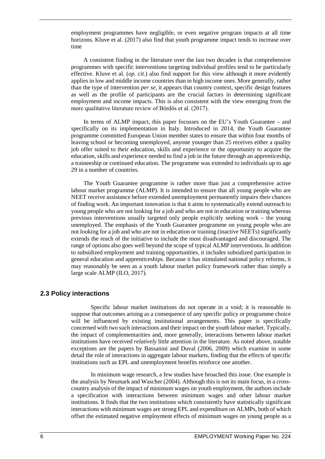employment programmes have negligible, or even negative program impacts at all time horizons. Kluve et al. (2017) also find that youth programme impact tends to increase over time

A consistent finding in the literature over the last two decades is that comprehensive programmes with specific interventions targeting individual profiles tend to be particularly effective. Kluve et al. (*op. cit.*) also find support for this view although it more evidently applies in low and middle income countries than in high income ones. More generally, rather than the type of intervention *per se*, it appears that country context, specific design features as well as the profile of participants are the crucial factors in determining significant employment and income impacts. This is also consistent with the view emerging from the more qualitative literature review of Bördős et al. (2017).

In terms of ALMP impact, this paper focusses on the EU's Youth Guarantee – and specifically on its implementation in Italy. Introduced in 2014, the Youth Guarantee programme committed European Union member states to ensure that within four months of leaving school or becoming unemployed, anyone younger than 25 receives either a quality job offer suited to their education, skills and experience or the opportunity to acquire the education, skills and experience needed to find a job in the future through an apprenticeship, a traineeship or continued education. The programme was extended to individuals up to age 29 in a number of countries.

The Youth Guarantee programme is rather more than just a comprehensive active labour market programme (ALMP). It is intended to ensure that all young people who are NEET receive assistance before extended unemployment permanently impairs their chances of finding work. An important innovation is that it aims to systematically extend outreach to young people who are not looking for a job and who are not in education or training whereas previous interventions usually targeted only people explicitly seeking work – the young unemployed. The emphasis of the Youth Guarantee programme on young people who are not looking for a job and who are not in education or training (inactive NEETs) significantly extends the reach of the initiative to include the most disadvantaged and discouraged. The range of options also goes well beyond the scope of typical ALMP interventions. In addition to subsidized employment and training opportunities, it includes subsidized participation in general education and apprenticeships. Because it has stimulated national policy reforms, it may reasonably be seen as a youth labour market policy framework rather than simply a large scale ALMP (ILO, 2017).

## **2.3 Policy interactions**

Specific labour market institutions do not operate in a void; it is reasonable to suppose that outcomes arising as a consequence of any specific policy or programme choice will be influenced by existing institutional arrangements. This paper is specifically concerned with two such interactions and their impact on the youth labour market. Typically, the impact of complementarities and, more generally, interactions between labour market institutions have received *relatively* little attention in the literature. As noted above, notable exceptions are the papers by Bassanini and Duval (2006, 2009) which examine in some detail the role of interactions in aggregate labour markets, finding that the effects of specific institutions such as EPL and unemployment benefits reinforce one another.

In minimum wage research, a few studies have broached this issue. One example is the analysis by Neumark and Wascher (2004). Although this is not its main focus, in a crosscountry analysis of the impact of minimum wages on youth employment, the authors include a specification with interactions between minimum wages and other labour market institutions. It finds that the two institutions which consistently have statistically significant interactions with minimum wages are strong EPL and expenditure on ALMPs, both of which offset the estimated negative employment effects of minimum wages on young people as a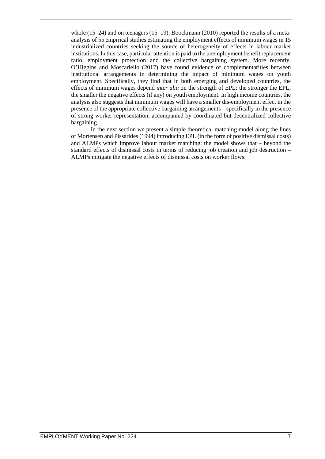whole (15–24) and on teenagers (15–19). Boockmann (2010) reported the results of a metaanalysis of 55 empirical studies estimating the employment effects of minimum wages in 15 industrialized countries seeking the source of heterogeneity of effects in labour market institutions. In this case, particular attention is paid to the unemployment benefit replacement ratio, employment protection and the collective bargaining system. More recently, O'Higgins and Moscariello (2017) have found evidence of complementarities between institutional arrangements in determining the impact of minimum wages on youth employment. Specifically, they find that in both emerging and developed countries, the effects of minimum wages depend *inter alia* on the strength of EPL: the stronger the EPL, the smaller the negative effects (if any) on youth employment. In high income countries, the analysis also suggests that minimum wages will have a smaller dis-employment effect in the presence of the appropriate collective bargaining arrangements – specifically in the presence of strong worker representation, accompanied by coordinated but decentralized collective bargaining.

In the next section we present a simple theoretical matching model along the lines of Mortensen and Pissarides (1994) introducing EPL (in the form of positive dismissal costs) and ALMPs which improve labour market matching; the model shows that – beyond the standard effects of dismissal costs in terms of reducing job creation and job destruction – ALMPs mitigate the negative effects of dismissal costs on worker flows.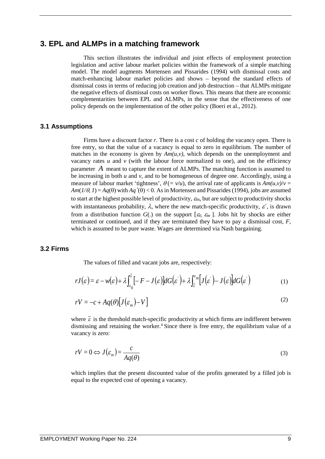## **3. EPL and ALMPs in a matching framework**

This section illustrates the individual and joint effects of employment protection legislation and active labour market policies within the framework of a simple matching model. The model augments Mortensen and Pissarides (1994) with dismissal costs and match-enhancing labour market policies and shows – beyond the standard effects of dismissal costs in terms of reducing job creation and job destruction – that ALMPs mitigate the negative effects of dismissal costs on worker flows. This means that there are economic complementarities between EPL and ALMPs, in the sense that the effectiveness of one policy depends on the implementation of the other policy (Boeri et al., 2012).

#### **3.1 Assumptions**

Firms have a discount factor *r*. There is a cost *c* of holding the vacancy open. There is free entry, so that the value of a vacancy is equal to zero in equilibrium. The number of matches in the economy is given by  $Am(u, v)$ , which depends on the unemployment and vacancy rates  $u$  and  $v$  (with the labour force normalized to one), and on the efficiency parameter *A* meant to capture the extent of ALMPs. The matching function is assumed to be increasing in both *u* and *v*, and to be homogeneous of degree one. Accordingly, using a measure of labour market 'tightness',  $\theta (= v/u)$ , the arrival rate of applicants is  $Am(u, v)/v =$  $Am(1/\theta, I) = Aq(\theta)$  with  $Aq'(\theta) < 0$ . As in Mortensen and Pissarides (1994), jobs are assumed to start at the highest possible level of productivity,  $\varepsilon_m$ , but are subject to productivity shocks with instantaneous probability,  $\lambda$ , where the new match-specific productivity,  $\varepsilon'$ , is drawn from a distribution function  $G(.)$  on the support  $[\varepsilon_0, \varepsilon_m]$ . Jobs hit by shocks are either terminated or continued, and if they are terminated they have to pay a dismissal cost, *F*, which is assumed to be pure waste. Wages are determined via Nash bargaining.

## **3.2 Firms**

The values of filled and vacant jobs are, respectively:

$$
rJ(\varepsilon) = \varepsilon - w(\varepsilon) + \lambda \int_{\varepsilon_0}^{\overline{\varepsilon}} \left[ -F - J(\varepsilon) \right] dG(\varepsilon') + \lambda \int_{\overline{\varepsilon}}^{\varepsilon_m} \left[ J(\varepsilon') - J(\varepsilon) \right] dG(\varepsilon')
$$
(1)

$$
rV = -c + Aq(\theta)[J(\varepsilon_m) - V]
$$
\n(2)

where  $\vec{\epsilon}$  is the threshold match-specific productivity at which firms are indifferent between dismissing and retaining the worker.<sup>4</sup> Since there is free entry, the equilibrium value of a vacancy is zero:

$$
rV = 0 \Leftrightarrow J(\varepsilon_m) = \frac{c}{Aq(\theta)}
$$
\n(3)

which implies that the present discounted value of the profits generated by a filled job is equal to the expected cost of opening a vacancy.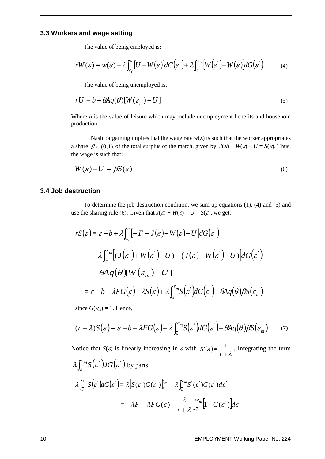### **3.3 Workers and wage setting**

The value of being employed is:

$$
rW(\varepsilon) = w(\varepsilon) + \lambda \int_{\varepsilon_0}^{\overline{\varepsilon}} \left[ U - W(\varepsilon) \right] dG(\varepsilon') + \lambda \int_{\overline{\varepsilon}}^{\varepsilon_m} \left[ W(\varepsilon') - W(\varepsilon) \right] dG(\varepsilon')
$$
 (4)

The value of being unemployed is:

$$
rU = b + \theta A q(\theta) [W(\varepsilon_m) - U] \tag{5}
$$

Where *b* is the value of leisure which may include unemployment benefits and household production.

Nash bargaining implies that the wage rate  $w(\varepsilon)$  is such that the worker appropriates a share  $\beta \in (0,1)$  of the total surplus of the match, given by,  $J(\varepsilon) + W(\varepsilon) - U = S(\varepsilon)$ . Thus, the wage is such that:

$$
W(\varepsilon) - U = \beta S(\varepsilon) \tag{6}
$$

### **3.4 Job destruction**

To determine the job destruction condition, we sum up equations (1), (4) and (5) and use the sharing rule (6). Given that  $J(\varepsilon) + W(\varepsilon) - U = S(\varepsilon)$ , we get:

$$
rS(\varepsilon) = \varepsilon - b + \lambda \int_{\varepsilon_0}^{\overline{\varepsilon}} \left[ -F - J(\varepsilon) - W(\varepsilon) + U \right] dG(\varepsilon')
$$
  
+  $\lambda \int_{\varepsilon}^{\varepsilon_m} \left[ (J(\varepsilon') + W(\varepsilon') - U) - (J(\varepsilon) + W(\varepsilon') - U) \right] dG(\varepsilon')$   
-  $\theta A q(\theta) [W(\varepsilon_m) - U]$   
=  $\varepsilon - b - \lambda FG(\overline{\varepsilon}) - \lambda S(\varepsilon) + \lambda \int_{\overline{\varepsilon}}^{\varepsilon_m} S(\varepsilon') dG(\varepsilon') - \theta A q(\theta) \beta S(\varepsilon_m)$ 

since  $G(\mathcal{E}_m) = 1$ . Hence,

$$
(r+\lambda)S(\varepsilon) = \varepsilon - b - \lambda FG(\overline{\varepsilon}) + \lambda \int_{\overline{\varepsilon}}^{\varepsilon_m} S(\varepsilon') dG(\varepsilon') - \theta A q(\theta) \beta S(\varepsilon_m) \tag{7}
$$

Notice that *S*(*ε*) is linearly increasing in *ε* with  $S'(\varepsilon) = \frac{1}{r + \lambda}$ . Integrating the term  $\lambda \int_{\overline{\varepsilon}}^{\varepsilon_m} S(\varepsilon') dG(\varepsilon')$  by parts:  $\lambda \int_{\overline{\varepsilon}}^{\varepsilon_m} S\big(\varepsilon^{'}\big)dG\big(\varepsilon^{'}\big) = \lambda \big[ S(\varepsilon^{'}) G(\varepsilon^{'}) \frac{\varepsilon_m}{\varepsilon} - \lambda \int_{\overline{\varepsilon}}^{\varepsilon_m} S^{'}(\varepsilon^{'}) G(\varepsilon^{'}) d\varepsilon^{'}$ ε ε  $\int_{\overline{\varepsilon}}^{\varepsilon_m} S\big(\varepsilon^{'}\big)dG\big(\varepsilon^{'}\big) = \lambda \Big[ S(\varepsilon^{'}) G(\varepsilon^{'}) \Big]_{\overline{\varepsilon}}^{\varepsilon_m} - \lambda \int_{\overline{\varepsilon}}^{\varepsilon_m} S^{'}(\varepsilon^{'}) G(\varepsilon^{'})$  $=-\lambda F + \lambda FG(\overline{\epsilon}) + \frac{\lambda}{\lambda} \int_{0}^{\epsilon_{m}} |1-G(\epsilon')| d\epsilon'$ *r*  $F + \lambda FG(\overline{\varepsilon}) + \frac{\lambda}{r + \lambda} \int_{\overline{\varepsilon}}^{\infty} [1 - G(\varepsilon^{'})] d\varepsilon$  $=-\lambda F+\lambda FG(\overline{\varepsilon})+\frac{\lambda}{r+\lambda}\int_{\overline{\varepsilon}}^{\varepsilon_m}\Bigl[1-G(\varepsilon)\Bigr]$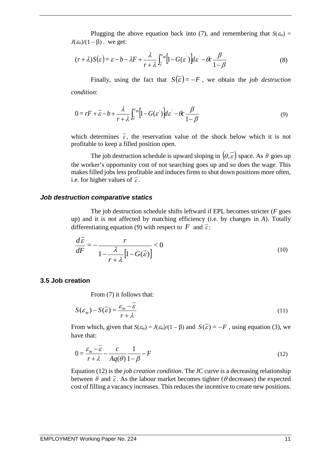Plugging the above equation back into (7), and remembering that  $S(\epsilon_m)$  =  $J(\varepsilon_m)/(1-\beta)$ . we get:

$$
(r+\lambda)S(\varepsilon) = \varepsilon - b - \lambda F + \frac{\lambda}{r+\lambda} \int_{\overline{\varepsilon}}^{\varepsilon_m} [1 - G(\varepsilon')] d\varepsilon' - \theta c \frac{\beta}{1-\beta}
$$
(8)

Finally, using the fact that  $S(\overline{\epsilon}) = -F$ , we obtain the *job destruction condition*:

$$
0 = rF + \overline{\varepsilon} - b + \frac{\lambda}{r + \lambda} \int_{\overline{\varepsilon}}^{\varepsilon_m} \left[ 1 - G(\varepsilon') \right] d\varepsilon' - \theta c \frac{\beta}{1 - \beta}
$$
 (9)

which determines  $\bar{\varepsilon}$ , the reservation value of the shock below which it is not profitable to keep a filled position open.

The job destruction schedule is upward sloping in  $(\theta, \bar{\varepsilon})$  space. As  $\theta$  goes up the worker's opportunity cost of not searching goes up and so does the wage. This makes filled jobs less profitable and induces firms to shut down positions more often, i.e. for higher values of  $\bar{\varepsilon}$ .

#### *Job destruction comparative statics*

The job destruction schedule shifts leftward if EPL becomes stricter (*F* goes up) and it is not affected by matching efficiency (i.e. by changes in *A*). Totally differentiating equation (9) with respect to *F* and  $\overline{\varepsilon}$ :

$$
\frac{d\varepsilon}{dF} = -\frac{r}{1 - \frac{\lambda}{r + \lambda} \left[1 - G(\overline{\varepsilon})\right]} < 0
$$
\n(10)

## **3.5 Job creation**

From (7) it follows that:

$$
S(\varepsilon_m) - S(\overline{\varepsilon}) = \frac{\varepsilon_m - \overline{\varepsilon}}{r + \lambda}
$$
 (11)

From which, given that  $S(\epsilon_m) = J(\epsilon_m)/(1 - \beta)$  and  $S(\bar{\epsilon}) = -F$ , using equation (3), we have that:

$$
0 = \frac{\varepsilon_m - \overline{\varepsilon}}{r + \lambda} - \frac{c}{Aq(\theta)} \frac{1}{1 - \beta} - F
$$
\n(12)

Equation (12) is the *job creation condition*. The JC curve is a decreasing relationship between  $\theta$  and  $\bar{\epsilon}$ . As the labour market becomes tighter ( $\theta$  decreases) the expected cost of filling a vacancy increases. This reduces the incentive to create new positions.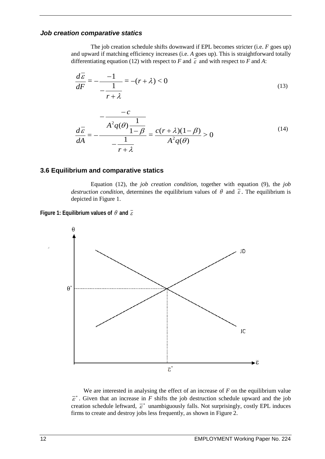## *Job creation comparative statics*

The job creation schedule shifts downward if EPL becomes stricter (i.e. *F* goes up) and upward if matching efficiency increases (i.e. *A* goes up). This is straightforward totally differentiating equation (12) with respect to *F* and  $\overline{\epsilon}$  and with respect to *F* and *A*:

$$
\frac{d\overline{\varepsilon}}{dF} = -\frac{-1}{-\frac{1}{r+\lambda}} = -(r+\lambda) < 0
$$
\n(13)

$$
\frac{d\overline{\varepsilon}}{dA} = -\frac{\overline{A^2 q(\theta)}\frac{1}{1-\beta}}{-\frac{1}{r+\lambda}} = \frac{c(r+\lambda)(1-\beta)}{A^2 q(\theta)} > 0
$$
\n(14)

### **3.6 Equilibrium and comparative statics**

Equation (12), the *job creation condition*, together with equation (9), the *job destruction condition*, determines the equilibrium values of  $\theta$  and  $\overline{\epsilon}$ . The equilibrium is depicted in Figure 1.





We are interested in analysing the effect of an increase of *F* on the equilibrium value  $\vec{\epsilon}^*$ . Given that an increase in *F* shifts the job destruction schedule upward and the job creation schedule leftward,  $\vec{\epsilon}^*$  unambiguously falls. Not surprisingly, costly EPL induces firms to create and destroy jobs less frequently, as shown in Figure 2.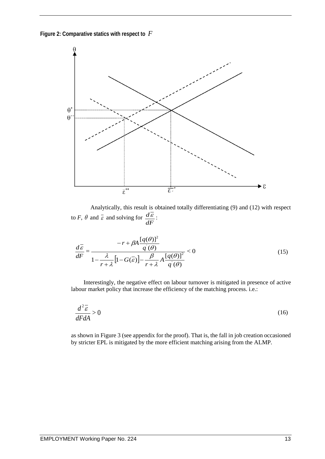**Figure 2: Comparative statics with respect to** *F*



Analytically, this result is obtained totally differentiating (9) and (12) with respect to *F*,  $\theta$  and  $\overline{\epsilon}$  and solving for  $\frac{d\overline{\epsilon}}{dF}$ :

$$
\frac{d\overline{\varepsilon}}{dF} = \frac{-r + \beta A \frac{[q(\theta)]^2}{q'(\theta)}}{1 - \frac{\lambda}{r + \lambda} [1 - G(\overline{\varepsilon})] - \frac{\beta}{r + \lambda} A \frac{[q(\theta)]^2}{q'(\theta)}} < 0
$$
\n(15)

Interestingly, the negative effect on labour turnover is mitigated in presence of active labour market policy that increase the efficiency of the matching process. i.e.:

$$
\frac{d^2\overline{\varepsilon}}{dF dA} > 0\tag{16}
$$

as shown in Figure 3 (see appendix for the proof). That is, the fall in job creation occasioned by stricter EPL is mitigated by the more efficient matching arising from the ALMP.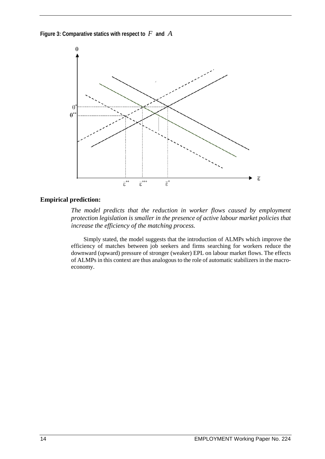**Figure 3: Comparative statics with respect to** *F* **and** *A*



## **Empirical prediction:**

*The model predicts that the reduction in worker flows caused by employment protection legislation is smaller in the presence of active labour market policies that increase the efficiency of the matching process.*

Simply stated, the model suggests that the introduction of ALMPs which improve the efficiency of matches between job seekers and firms searching for workers reduce the downward (upward) pressure of stronger (weaker) EPL on labour market flows. The effects of ALMPs in this context are thus analogous to the role of automatic stabilizers in the macroeconomy.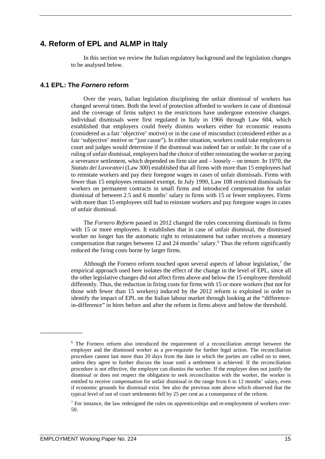## **4. Reform of EPL and ALMP in Italy**

In this section we review the Italian regulatory background and the legislation changes to be analysed below.

## **4.1 EPL: The** *Fornero* **reform**

Over the years, Italian legislation disciplining the unfair dismissal of workers has changed several times. Both the level of protection afforded to workers in case of dismissal and the coverage of firms subject to the restrictions have undergone extensive changes. Individual dismissals were first regulated in Italy in 1966 through Law 604, which established that employers could freely dismiss workers either for economic reasons (considered as a fair 'objective' motive) or in the case of misconduct (considered either as a fair 'subjective' motive or "just cause"). In either situation, workers could take employers to court and judges would determine if the dismissal was indeed fair or unfair. In the case of a ruling of unfair dismissal, employers had the choice of either reinstating the worker or paying a severance settlement, which depended on firm size and – loosely – on tenure. In 1970, the *Statuto dei Lavoratori* (Law 300) established that all firms with more than 15 employees had to reinstate workers and pay their foregone wages in cases of unfair dismissals. Firms with fewer than 15 employees remained exempt. In July 1990, Law 108 restricted dismissals for workers on permanent contracts in small firms and introduced compensation for unfair dismissal of between 2.5 and 6 months' salary in firms with 15 or fewer employees. Firms with more than 15 employees still had to reinstate workers and pay foregone wages in cases of unfair dismissal.

The *Fornero Reform* passed in 2012 changed the rules concerning dismissals in firms with 15 or more employees. It establishes that in case of unfair dismissal, the dismissed worker no longer has the automatic right to reinstatement but rather receives a monetary compensation that ranges between 12 and 24 months' salary.[6](#page-23-0) Thus the reform significantly reduced the firing costs borne by larger firms.

Although the Fornero reform touched upon several aspects of labour legislation,[7](#page-23-1) the empirical approach used here isolates the effect of the change in the level of EPL, since all the other legislative changes did not affect firms above and below the 15-employee threshold differently. Thus, the reduction in firing costs for firms with 15 or more workers (but not for those with fewer than 15 workers) induced by the 2012 reform is exploited in order to identify the impact of EPL on the Italian labour market through looking at the "differencein-difference" in hires before and after the reform in firms above and below the threshold.

<span id="page-23-0"></span><sup>6</sup> The Fornero reform also introduced the requirement of a reconciliation attempt between the employer and the dismissed worker as a pre-requisite for further legal action. The reconciliation procedure cannot last more than 20 days from the date in which the parties are called on to meet, unless they agree to further discuss the issue until a settlement is achieved. If the reconciliation procedure is not effective, the employer can dismiss the worker. If the employer does not justify the dismissal or does not respect the obligation to seek reconciliation with the worker, the worker is entitled to receive compensation for unfair dismissal in the range from 6 to 12 months' salary, even if economic grounds for dismissal exist. See also the previous note above which observed that the typical level of out of court settlements fell by 25 per cent as a consequence of the reform.

<span id="page-23-1"></span><sup>&</sup>lt;sup>7</sup> For instance, the law redesigned the rules on apprenticeships and re-employment of workers over-50.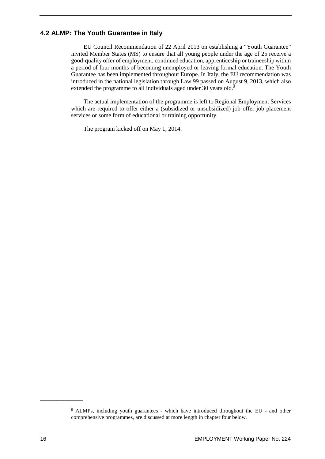## **4.2 ALMP: The Youth Guarantee in Italy**

EU Council Recommendation of 22 April 2013 on establishing a "Youth Guarantee" invited Member States (MS) to ensure that all young people under the age of 25 receive a good-quality offer of employment, continued education, apprenticeship or traineeship within a period of four months of becoming unemployed or leaving formal education. The Youth Guarantee has been implemented throughout Europe. In Italy, the EU recommendation was introduced in the national legislation through Law 99 passed on August 9, 2013, which also extended the programme to all individuals aged under 30 years old.<sup>8</sup>

The actual implementation of the programme is left to Regional Employment Services which are required to offer either a (subsidized or unsubsidized) job offer job placement services or some form of educational or training opportunity.

The program kicked off on May 1, 2014.

<span id="page-24-0"></span><sup>8</sup> ALMPs, including youth guarantees - which have introduced throughout the EU - and other comprehensive programmes, are discussed at more length in chapter four below.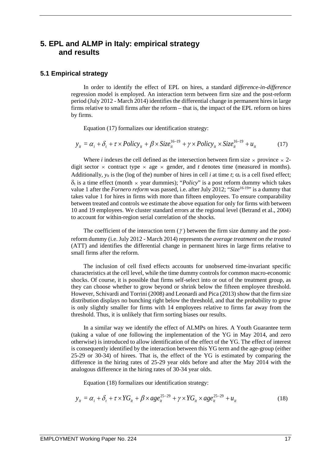## **5. EPL and ALMP in Italy: empirical strategy and results**

## **5.1 Empirical strategy**

In order to identify the effect of EPL on hires, a standard *difference-in-difference* regression model is employed. An interaction term between firm size and the post-reform period (July 2012 - March 2014) identifies the differential change in permanent hires in large firms relative to small firms after the reform – that is, the impact of the EPL reform on hires by firms.

Equation (17) formalizes our identification strategy:

$$
y_{it} = \alpha_i + \delta_t + \tau \times Policy_{it} + \beta \times Size_{it}^{16-19} + \gamma \times Policy_{it} \times Size_{it}^{16-19} + u_{it}
$$
 (17)

Where *i* indexes the cell defined as the intersection between firm size  $\times$  province  $\times$  2digit sector  $\times$  contract type  $\times$  age  $\times$  gender, and *t* denotes time (measured in months). Additionally,  $y_{it}$  is the (log of the) number of hires in cell *i* at time *t*;  $\alpha_i$  is a cell fixed effect;  $\delta_t$  is a time effect (month  $\times$  year dummies); "*Policy*" is a post reform dummy which takes value 1 after the *Fornero reform* was passed, i.e. after July 2012; "*Size*16-19" is a dummy that takes value 1 for hires in firms with more than fifteen employees. To ensure comparability between treated and controls we estimate the above equation for only for firms with between 10 and 19 employees. We cluster standard errors at the regional level (Betrand et al., 2004) to account for within-region serial correlation of the shocks.

The coefficient of the interaction term ( $\gamma$ ) between the firm size dummy and the postreform dummy (i.e. July 2012 - March 2014) represents the *average treatment on the treated* (ATT) and identifies the differential change in permanent hires in large firms relative to small firms after the reform.

The inclusion of cell fixed effects accounts for unobserved time-invariant specific characteristics at the cell level, while the time dummy controls for common macro-economic shocks. Of course, it is possible that firms self-select into or out of the treatment group, as they can choose whether to grow beyond or shrink below the fifteen employee threshold. However, Schivardi and Torrini (2008) and Leonardi and Pica (2013) show that the firm size distribution displays no bunching right below the threshold, and that the probability to grow is only slightly smaller for firms with 14 employees relative to firms far away from the threshold. Thus, it is unlikely that firm sorting biases our results.

In a similar way we identify the effect of ALMPs on hires. A Youth Guarantee term (taking a value of one following the implementation of the YG in May 2014, and zero otherwise) is introduced to allow identification of the effect of the YG. The effect of interest is consequently identified by the interaction between this YG term and the age-group (either 25-29 or 30-34) of hirees. That is, the effect of the YG is estimated by comparing the difference in the hiring rates of 25-29 year olds before and after the May 2014 with the analogous difference in the hiring rates of 30-34 year olds.

Equation (18) formalizes our identification strategy:

$$
y_{it} = \alpha_i + \delta_t + \tau \times YG_{it} + \beta \times age_{it}^{25-29} + \gamma \times YG_{it} \times age_{it}^{25-29} + u_{it}
$$
 (18)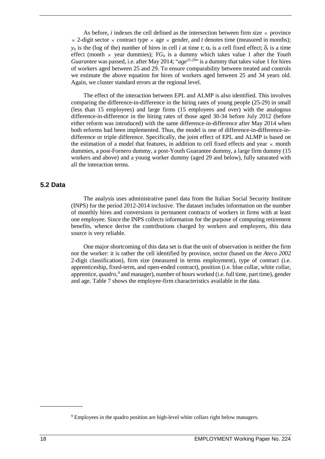As before, *i* indexes the cell defined as the intersection between firm size  $\times$  province  $\times$  2-digit sector  $\times$  contract type  $\times$  age  $\times$  gender, and *t* denotes time (measured in months);  $y_{it}$  is the (log of the) number of hires in cell *i* at time *t*;  $\alpha_i$  is a cell fixed effect;  $\delta_t$  is a time effect (month  $\times$  year dummies); *YG*<sub>it</sub> is a dummy which takes value 1 after the *Youth Guarantee* was passed, i.e. after May 2014; "*age*25-29" is a dummy that takes value 1 for hires of workers aged between 25 and 29. To ensure comparability between treated and controls we estimate the above equation for hires of workers aged between 25 and 34 years old. Again, we cluster standard errors at the regional level.

The effect of the interaction between EPL and ALMP is also identified. This involves comparing the difference-in-difference in the hiring rates of young people (25-29) in small (less than 15 employees) and large firms (15 employees and over) with the analogous difference-in-difference in the hiring rates of those aged 30-34 before July 2012 (before either reform was introduced) with the same difference-in-difference after May 2014 when both reforms had been implemented. Thus, the model is one of difference-in-difference-indifference or triple difference. Specifically, the joint effect of EPL and ALMP is based on the estimation of a model that features, in addition to cell fixed effects and year  $\times$  month dummies, a post-Fornero dummy, a post-Youth Guarantee dummy, a large firm dummy (15 workers and above) and a young worker dummy (aged 29 and below), fully saturated with all the interaction terms.

## **5.2 Data**

The analysis uses administrative panel data from the Italian Social Security Institute (INPS) for the period 2012-2014 inclusive. The dataset includes information on the number of monthly hires and conversions in permanent contracts of workers in firms with at least one employee. Since the INPS collects information for the purpose of computing retirement benefits, whence derive the contributions charged by workers and employers, this data source is very reliable.

One major shortcoming of this data set is that the unit of observation is neither the firm nor the worker: it is rather the cell identified by province, sector (based on the *Ateco 2002* 2-digit classification), firm size (measured in terms employment), type of contract (i.e. apprenticeship, fixed-term, and open-ended contract), position (i.e. blue collar, white collar, apprentice, *quadro*, [9](#page-26-0) and manager), number of hours worked (i.e. full time, part time), gender and age. Table 7 shows the employee-firm characteristics available in the data.

<span id="page-26-0"></span><sup>9</sup> Employees in the quadro position are high-level white collars right below managers.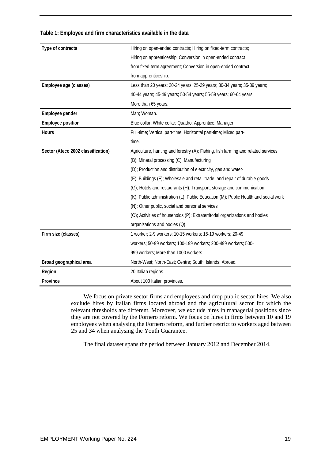| Type of contracts                  | Hiring on open-ended contracts; Hiring on fixed-term contracts;                     |  |  |
|------------------------------------|-------------------------------------------------------------------------------------|--|--|
|                                    | Hiring on apprenticeship; Conversion in open-ended contract                         |  |  |
|                                    | from fixed-term agreement; Conversion in open-ended contract                        |  |  |
|                                    | from apprenticeship.                                                                |  |  |
| Employee age (classes)             | Less than 20 years; 20-24 years; 25-29 years; 30-34 years; 35-39 years;             |  |  |
|                                    | 40-44 years; 45-49 years; 50-54 years; 55-59 years; 60-64 years;                    |  |  |
|                                    | More than 65 years.                                                                 |  |  |
| Employee gender                    | Man; Woman.                                                                         |  |  |
| <b>Employee position</b>           | Blue collar; White collar; Quadro; Apprentice; Manager.                             |  |  |
| Hours                              | Full-time; Vertical part-time; Horizontal part-time; Mixed part-                    |  |  |
|                                    | time.                                                                               |  |  |
| Sector (Ateco 2002 classification) | Agriculture, hunting and forestry (A); Fishing, fish farming and related services   |  |  |
|                                    | (B); Mineral processing (C); Manufacturing                                          |  |  |
|                                    | (D); Production and distribution of electricity, gas and water-                     |  |  |
|                                    | (E); Buildings (F); Wholesale and retail trade, and repair of durable goods         |  |  |
|                                    | (G); Hotels and restaurants (H); Transport, storage and communication               |  |  |
|                                    | (K); Public administration (L); Public Education (M); Public Health and social work |  |  |
|                                    | (N); Other public, social and personal services                                     |  |  |
|                                    | (O); Activities of households (P); Extraterritorial organizations and bodies        |  |  |
|                                    | organizations and bodies (Q).                                                       |  |  |
| Firm size (classes)                | 1 worker; 2-9 workers; 10-15 workers; 16-19 workers; 20-49                          |  |  |
|                                    | workers; 50-99 workers; 100-199 workers; 200-499 workers; 500-                      |  |  |
|                                    | 999 workers; More than 1000 workers.                                                |  |  |
| Broad geographical area            | North-West; North-East; Centre; South; Islands; Abroad.                             |  |  |
| Region                             | 20 Italian regions.                                                                 |  |  |
| Province                           | About 100 Italian provinces.                                                        |  |  |

#### **Table 1: Employee and firm characteristics available in the data**

We focus on private sector firms and employees and drop public sector hires. We also exclude hires by Italian firms located abroad and the agricultural sector for which the relevant thresholds are different. Moreover, we exclude hires in managerial positions since they are not covered by the Fornero reform. We focus on hires in firms between 10 and 19 employees when analysing the Fornero reform, and further restrict to workers aged between 25 and 34 when analysing the Youth Guarantee.

The final dataset spans the period between January 2012 and December 2014.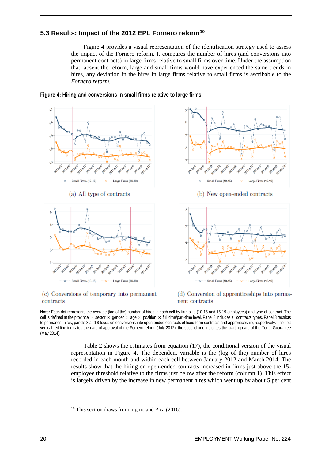## **5.3 Results: Impact of the 2012 EPL Fornero reform[10](#page-28-0)**

Figure 4 provides a visual representation of the identification strategy used to assess the impact of the Fornero reform. It compares the number of hires (and conversions into permanent contracts) in large firms relative to small firms over time. Under the assumption that, absent the reform, large and small firms would have experienced the same trends in hires, any deviation in the hires in large firms relative to small firms is ascribable to the *Fornero reform*.



**Figure 4: Hiring and conversions in small firms relative to large firms.**

#### (c) Conversions of temporary into permanent contracts

(d) Conversion of apprenticeships into permanent contracts

**Note:** Each dot represents the average (log of the) number of hires in each cell by firm-size (10-15 and 16-19 employees) and type of contract. The cell is defined at the province  $\times$  sector  $\times$  gender  $\times$  age  $\times$  position  $\times$  full-time/part-time level. Panel 8 includes all contracts types. Panel 8 restricts to permanent hires; panels 8 and 8 focus on conversions into open-ended contracts of fixed-term contracts and apprenticeship, respectively. The first vertical red line indicates the date of approval of the Fornero reform (July 2012); the second one indicates the starting date of the Youth Guarantee (May 2014).

Table 2 shows the estimates from equation (17), the conditional version of the visual representation in Figure 4. The dependent variable is the (log of the) number of hires recorded in each month and within each cell between January 2012 and March 2014. The results show that the hiring on open-ended contracts increased in firms just above the 15 employee threshold relative to the firms just below after the reform (column 1). This effect is largely driven by the increase in new permanent hires which went up by about 5 per cent

<span id="page-28-0"></span> $10$  This section draws from Ingino and Pica (2016).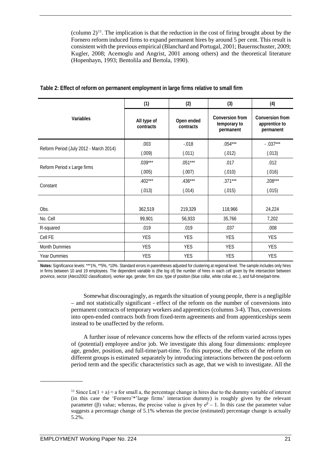(column  $2^{11}$  $2^{11}$  $2^{11}$ . The implication is that the reduction in the cost of firing brought about by the Fornero reform induced firms to expand permanent hires by around 5 per cent. This result is consistent with the previous empirical (Blanchard and Portugal, 2001; Bauernschuster, 2009; Kugler, 2008; Acemoglu and Angrist, 2001 among others) and the theoretical literature (Hopenhayn, 1993; Bentolila and Bertola, 1990).

|                                        | (1)                      | (2)                     | (3)                                                 | (4)                                           |
|----------------------------------------|--------------------------|-------------------------|-----------------------------------------------------|-----------------------------------------------|
| Variables                              | All type of<br>contracts | Open ended<br>contracts | <b>Conversion from</b><br>temporary to<br>permanent | Conversion from<br>apprentice to<br>permanent |
|                                        | .003                     | $-0.018$                | $.054***$                                           | $-.037***$                                    |
| Reform Period (July 2012 - March 2014) | (.009)                   | (.011)                  | (.012)                                              | (.013)                                        |
|                                        | $.039***$                | $.051***$               | .017                                                | .012                                          |
| Reform Period x Large firms            | (.005)                   | (.007)                  | (.010)                                              | (.016)                                        |
|                                        | $.402***$                | $.436***$               | $.371***$                                           | $.208***$                                     |
| Constant                               | (.013)                   | (.014)                  | (.015)                                              | (.015)                                        |
|                                        |                          |                         |                                                     |                                               |
| Obs.                                   | 362,519                  | 219,329                 | 118,966                                             | 24,224                                        |
| No. Cell                               | 99,901                   | 56,933                  | 35,766                                              | 7,202                                         |
| R-squared                              | .019                     | .019                    | .037                                                | .008                                          |
| Cell FE                                | <b>YES</b>               | <b>YES</b>              | <b>YES</b>                                          | <b>YES</b>                                    |
| <b>Month Dummies</b>                   | <b>YES</b>               | <b>YES</b>              | <b>YES</b>                                          | <b>YES</b>                                    |
| Year Dummies                           | <b>YES</b>               | <b>YES</b>              | <b>YES</b>                                          | <b>YES</b>                                    |

#### **Table 2: Effect of reform on permanent employment in large firms relative to small firm**

**Notes:** Significance levels: \*\*\*1%, \*\*5%, \*10%. Standard errors in parentheses adjusted for clustering at regional level. The sample includes only hires in firms between 10 and 19 employees. The dependent variable is (the log of) the number of hires in each cell given by the intersection between province, sector (Ateco2002 classification), worker age, gender, firm size, type of position (blue collar, white collar etc..), and full-time/part-time.

> Somewhat discouragingly, as regards the situation of young people, there is a negligible – and not statistically significant - effect of the reform on the number of conversions into permanent contracts of temporary workers and apprentices (columns 3-4). Thus, conversions into open-ended contracts both from fixed-term agreements and from apprenticeships seem instead to be unaffected by the reform.

> A further issue of relevance concerns how the effects of the reform varied across types of (potential) employee and/or job. We investigate this along four dimensions: employee age, gender, position, and full-time/part-time. To this purpose, the effects of the reform on different groups is estimated separately by introducing interactions between the post-reform period term and the specific characteristics such as age, that we wish to investigate. All the

<span id="page-29-0"></span><sup>&</sup>lt;sup>11</sup> Since Ln(1 + a)  $\approx$  a for small a, the percentage change in hires due to the dummy variable of interest (in this case the 'Fornero'\*'large firms' interaction dummy) is roughly given by the relevant parameter (β) value; whereas, the precise value is given by  $e^{\beta} - 1$ . In this case the parameter value suggests a percentage change of 5.1% whereas the precise (estimated) percentage change is actually 5.2%.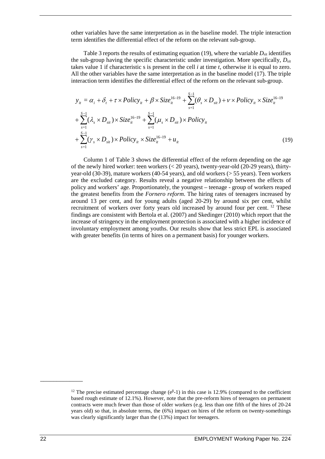other variables have the same interpretation as in the baseline model. The triple interaction term identifies the differential effect of the reform on the relevant sub-group.

Table 3 reports the results of estimating equation (19), where the variable  $D_{\text{sti}}$  identifies the sub-group having the specific characteristic under investigation. More specifically,  $D_{\text{sit}}$ takes value 1 if characteristic s is present in the cell *i* at time *t*, otherwise it is equal to zero. All the other variables have the same interpretation as in the baseline model (17). The triple interaction term identifies the differential effect of the reform on the relevant sub-group.

$$
y_{it} = \alpha_i + \delta_t + \tau \times Policy_{it} + \beta \times Size_{it}^{16-19} + \sum_{s=1}^{S-1} (\theta_s \times D_{sit}) + \nu \times Policy_{it} \times Size_{it}^{16-19} + \sum_{s=1}^{S-1} (\lambda_s \times D_{sit}) \times Size_{it}^{16-19} + \sum_{s=1}^{S-1} (\mu_s \times D_{sit}) \times Policy_{it} + \sum_{s=1}^{S-1} (\gamma_s \times D_{sit}) \times Policy_{it} \times Size_{it}^{16-19} + u_{it}
$$
\n(19)

Column 1 of Table 3 shows the differential effect of the reform depending on the age of the newly hired worker: teen workers  $( $20 \text{ years}$ ), twenty-year-old  $(20-29 \text{ years})$ , thirty$ year-old (30-39), mature workers (40-54 years), and old workers (> 55 years). Teen workers are the excluded category. Results reveal a negative relationship between the effects of policy and workers' age. Proportionately, the youngest – teenage - group of workers reaped the greatest benefits from the *Fornero reform*. The hiring rates of teenagers increased by around 13 per cent, and for young adults (aged 20-29) by around six per cent, whilst recruitment of workers over forty years old increased by around four per cent. <sup>[12](#page-30-0)</sup> These findings are consistent with Bertola et al. (2007) and Skedinger (2010) which report that the increase of stringency in the employment protection is associated with a higher incidence of involuntary employment among youths. Our results show that less strict EPL is associated with greater benefits (in terms of hires on a permanent basis) for younger workers.

<span id="page-30-0"></span><sup>&</sup>lt;sup>12</sup> The precise estimated percentage change ( $e^{\beta}$ -1) in this case is 12.9% (compared to the coefficient based rough estimate of 12.1%). However, note that the pre-reform hires of teenagers on permanent contracts were much fewer than those of older workers (e.g. less than one fifth of the hires of 20-24 years old) so that, in absolute terms, the (6%) impact on hires of the reform on twenty-somethings was clearly significantly larger than the (13%) impact for teenagers.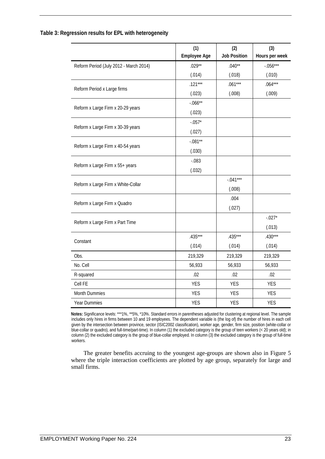|                                        | (1)<br><b>Employee Age</b> | (2)<br><b>Job Position</b> | (3)<br>Hours per week |
|----------------------------------------|----------------------------|----------------------------|-----------------------|
| Reform Period (July 2012 - March 2014) | $.029**$                   | $.040**$                   | $-.056***$            |
|                                        | (.014)                     | (.018)                     | (.010)                |
|                                        | $.121***$                  | $.061***$                  | $.064***$             |
| Reform Period x Large firms            | (.023)                     | (.008)                     | (.009)                |
| Reform x Large Firm x 20-29 years      | $-.066**$                  |                            |                       |
|                                        | (.023)                     |                            |                       |
|                                        | $-.057*$                   |                            |                       |
| Reform x Large Firm x 30-39 years      | (.027)                     |                            |                       |
|                                        | $-.081**$                  |                            |                       |
| Reform x Large Firm x 40-54 years      | (.030)                     |                            |                       |
|                                        | $-0.083$                   |                            |                       |
| Reform x Large Firm x 55+ years        | (.032)                     |                            |                       |
|                                        |                            | $-.041***$                 |                       |
| Reform x Large Firm x White-Collar     |                            | (.008)                     |                       |
|                                        |                            | .004                       |                       |
| Reform x Large Firm x Quadro           |                            | (.027)                     |                       |
| Reform x Large Firm x Part Time        |                            |                            | $-.027*$              |
|                                        |                            |                            | (.013)                |
| Constant                               | $.435***$                  | $.435***$                  | $.430***$             |
|                                        | (.014)                     | (.014)                     | (.014)                |
| Obs.                                   | 219,329                    | 219,329                    | 219,329               |
| No. Cell                               | 56,933                     | 56,933                     | 56,933                |
| R-squared                              | .02                        | .02                        | .02                   |
| Cell FE                                | <b>YES</b>                 | <b>YES</b>                 | <b>YES</b>            |
| Month Dummies                          | <b>YES</b>                 | <b>YES</b>                 | <b>YES</b>            |
| Year Dummies                           | <b>YES</b>                 | <b>YES</b>                 | <b>YES</b>            |

#### **Table 3: Regression results for EPL with heterogeneity**

**Notes:** Significance levels: \*\*\*1%, \*\*5%, \*10%. Standard errors in parentheses adjusted for clustering at regional level. The sample includes only hires in firms between 10 and 19 employees. The dependent variable is (the log of) the number of hires in each cell given by the intersection between province, sector (ISIC2002 classification), worker age, gender, firm size, position (white-collar or blue-collar or quadro), and full-time/part-time). In column (1) the excluded category is the group of teen workers (< 20 years old); in column (2) the excluded category is the group of blue-collar employed. In column (3) the excluded category is the group of full-time workers.

The greater benefits accruing to the youngest age-groups are shown also in Figure 5 where the triple interaction coefficients are plotted by age group, separately for large and small firms.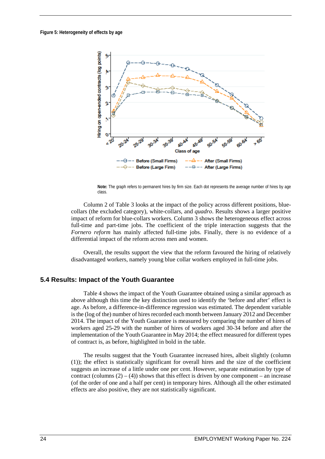

**Note:** The graph refers to permanent hires by firm size. Each dot represents the average number of hires by age class.

Column 2 of Table 3 looks at the impact of the policy across different positions, bluecollars (the excluded category), white-collars, and *quadro*. Results shows a larger positive impact of reform for blue-collars workers. Column 3 shows the heterogeneous effect across full-time and part-time jobs. The coefficient of the triple interaction suggests that the *Fornero reform* has mainly affected full-time jobs. Finally, there is no evidence of a differential impact of the reform across men and women.

Overall, the results support the view that the reform favoured the hiring of relatively disadvantaged workers, namely young blue collar workers employed in full-time jobs.

### **5.4 Results: Impact of the Youth Guarantee**

Table 4 shows the impact of the Youth Guarantee obtained using a similar approach as above although this time the key distinction used to identify the 'before and after' effect is age. As before, a difference-in-difference regression was estimated. The dependent variable is the (log of the) number of hires recorded each month between January 2012 and December 2014. The impact of the Youth Guarantee is measured by comparing the number of hires of workers aged 25-29 with the number of hires of workers aged 30-34 before and after the implementation of the Youth Guarantee in May 2014; the effect measured for different types of contract is, as before, highlighted in bold in the table.

The results suggest that the Youth Guarantee increased hires, albeit slightly (column (1)); the effect is statistically significant for overall hires and the size of the coefficient suggests an increase of a little under one per cent. However, separate estimation by type of contract (columns  $(2) - (4)$ ) shows that this effect is driven by one component – an increase (of the order of one and a half per cent) in temporary hires. Although all the other estimated effects are also positive, they are not statistically significant.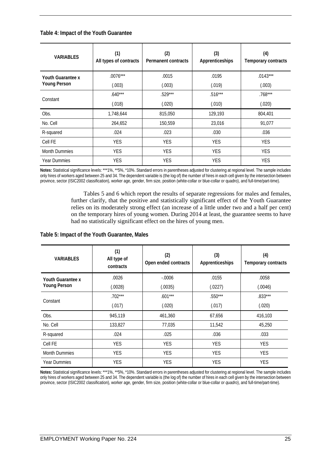#### **Table 4: Impact of the Youth Guarantee**

| <b>VARIABLES</b>         | (1)<br>All types of contracts | (2)<br>Permanent contracts | (3)<br>Apprenticeships | (4)<br>Temporary contracts |
|--------------------------|-------------------------------|----------------------------|------------------------|----------------------------|
| <b>Youth Guarantee x</b> | $.0076***$                    | .0015                      | .0195                  | $.0143***$                 |
| <b>Young Person</b>      | (.003)                        | (.003)                     | (.019)                 | (.003)                     |
| Constant                 | $.640***$                     | $.529***$                  | $.516***$              | $.768***$                  |
|                          | (.018)                        | (.020)                     | (.010)                 | (.020)                     |
| Obs.                     | 1,748,644                     | 815,050                    | 129,193                | 804,401                    |
| No. Cell                 | 264.652                       | 150,559                    | 23.016                 | 91.077                     |
| R-squared                | .024                          | .023                       | .030                   | .036                       |
| Cell FE                  | <b>YES</b>                    | <b>YES</b>                 | <b>YES</b>             | <b>YES</b>                 |
| <b>Month Dummies</b>     | <b>YES</b>                    | <b>YES</b>                 | <b>YES</b>             | <b>YES</b>                 |
| <b>Year Dummies</b>      | <b>YES</b>                    | <b>YES</b>                 | <b>YES</b>             | <b>YES</b>                 |

**Notes:** Statistical significance levels: \*\*\*1%, \*\*5%, \*10%. Standard errors in parentheses adjusted for clustering at regional level. The sample includes only hires of workers aged between 25 and 34. The dependent variable is (the log of) the number of hires in each cell given by the intersection between province, sector (ISIC2002 classification), worker age, gender, firm size, position (white-collar or blue-collar or quadro), and full-time/part-time).

> Tables 5 and 6 which report the results of separate regressions for males and females, further clarify, that the positive and statistically significant effect of the Youth Guarantee relies on its moderately strong effect (an increase of a little under two and a half per cent) on the temporary hires of young women. During 2014 at least, the guarantee seems to have had no statistically significant effect on the hires of young men.

#### **Table 5: Impact of the Youth Guarantee, Males**

| <b><i>VARIABLES</i></b>  | (1)<br>All type of<br>contracts | (2)<br>Open ended contracts | (3)<br>Apprenticeships | (4)<br>Temporary contracts |
|--------------------------|---------------------------------|-----------------------------|------------------------|----------------------------|
| <b>Youth Guarantee x</b> | .0026                           | $-0.0006$                   | .0155                  | .0058                      |
| <b>Young Person</b>      | (.0028)                         | (.0035)                     | (.0227)                | (.0046)                    |
| Constant                 | $.702***$                       | $.601***$                   | $.550***$              | $.833***$                  |
|                          | (.017)                          | (.020)                      | (.017)                 | (.020)                     |
| Obs.                     | 945,119                         | 461,360                     | 67,656                 | 416,103                    |
| No. Cell                 | 133,827                         | 77,035                      | 11,542                 | 45,250                     |
| R-squared                | .024                            | .025                        | .036                   | .033                       |
| Cell FE                  | <b>YES</b>                      | <b>YES</b>                  | <b>YES</b>             | <b>YES</b>                 |
| <b>Month Dummies</b>     | <b>YES</b>                      | <b>YES</b>                  | <b>YES</b>             | <b>YES</b>                 |
| <b>Year Dummies</b>      | <b>YES</b>                      | <b>YES</b>                  | <b>YES</b>             | <b>YES</b>                 |

**Notes:** Statistical significance levels: \*\*\*1%, \*\*5%, \*10%. Standard errors in parentheses adjusted for clustering at regional level. The sample includes only hires of workers aged between 25 and 34. The dependent variable is (the log of) the number of hires in each cell given by the intersection between province, sector (ISIC2002 classification), worker age, gender, firm size, position (white-collar or blue-collar or *quadro*), and full-time/part-time).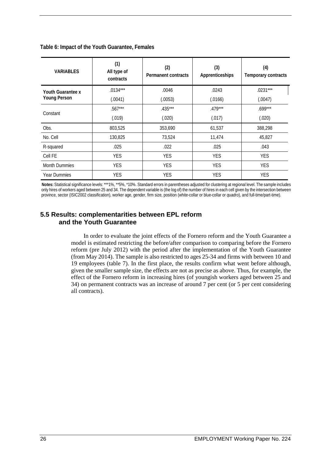| <b><i>VARIABLES</i></b> | (1)<br>All type of<br>contracts | (2)<br>Permanent contracts | (3)<br>Apprenticeships | (4)<br>Temporary contracts |
|-------------------------|---------------------------------|----------------------------|------------------------|----------------------------|
| Youth Guarantee x       | $.0134***$                      | .0046                      | .0243                  | $.0231***$                 |
| <b>Young Person</b>     | (.0041)                         | (.0053)                    | (.0166)                | (.0047)                    |
| Constant                | $.567***$                       | $.435***$                  | $.479***$              | $.699***$                  |
|                         | (.019)                          | (.020)                     | (.017)                 | (.020)                     |
| Obs.                    | 803,525                         | 353,690                    | 61,537                 | 388,298                    |
| No. Cell                | 130,825                         | 73,524                     | 11,474                 | 45,827                     |
| R-squared               | .025                            | .022                       | .025                   | .043                       |
| Cell FE                 | <b>YES</b>                      | <b>YES</b>                 | <b>YES</b>             | <b>YES</b>                 |
| <b>Month Dummies</b>    | <b>YES</b>                      | <b>YES</b>                 | <b>YES</b>             | <b>YES</b>                 |
| <b>Year Dummies</b>     | <b>YES</b>                      | <b>YES</b>                 | <b>YES</b>             | <b>YES</b>                 |

**Table 6: Impact of the Youth Guarantee, Females**

**Notes:** Statistical significance levels: \*\*\*1%, \*\*5%, \*10%. Standard errors in parentheses adjusted for clustering at regional level. The sample includes only hires of workers aged between 25 and 34. The dependent variable is (the log of) the number of hires in each cell given by the intersection between province, sector (ISIC2002 classification), worker age, gender, firm size, position (white-collar or blue-collar or *quadro*), and full-time/part-time).

## **5.5 Results: complementarities between EPL reform and the Youth Guarantee**

In order to evaluate the joint effects of the Fornero reform and the Youth Guarantee a model is estimated restricting the before/after comparison to comparing before the Fornero reform (pre July 2012) with the period after the implementation of the Youth Guarantee (from May 2014). The sample is also restricted to ages 25-34 and firms with between 10 and 19 employees (table 7). In the first place, the results confirm what went before although, given the smaller sample size, the effects are not as precise as above. Thus, for example, the effect of the Fornero reform in increasing hires (of youngish workers aged between 25 and 34) on permanent contracts was an increase of around 7 per cent (or 5 per cent considering all contracts).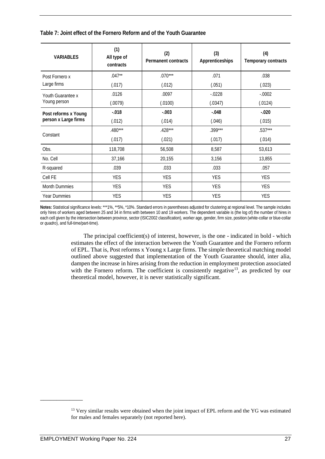**Table 7: Joint effect of the Fornero Reform and of the Youth Guarantee**

| <b>VARIABLES</b>                             | (1)<br>All type of<br>contracts | (2)<br><b>Permanent contracts</b> | (3)<br>Apprenticeships | (4)<br>Temporary contracts |
|----------------------------------------------|---------------------------------|-----------------------------------|------------------------|----------------------------|
| Post Fornero x                               | $.047**$                        | $.070***$                         | .071                   | .038                       |
| Large firms                                  | (.017)                          | (.012)                            | (.051)                 | (.023)                     |
| Youth Guarantee x                            | .0126                           | .0097                             | $-0228$                | $-.0002$                   |
| Young person                                 | (.0079)                         | (.0100)                           | (.0347)                | (.0124)                    |
| Post reforms x Young<br>person x Large firms | $-0.018$                        | $-.003$                           | $-.048$                | $-.020$                    |
|                                              | (.012)                          | (.014)                            | (.046)                 | (.015)                     |
| Constant                                     | $.480***$                       | $.428***$                         | $.399***$              | $.537***$                  |
|                                              | (.017)                          | (.021)                            | (.017)                 | (.014)                     |
| Obs.                                         | 118,708                         | 56,508                            | 8,587                  | 53,613                     |
| No. Cell                                     | 37,166                          | 20,155                            | 3,156                  | 13,855                     |
| R-squared                                    | .039                            | .033                              | .033                   | .057                       |
| Cell FE                                      | <b>YES</b>                      | <b>YES</b>                        | <b>YES</b>             | <b>YES</b>                 |
| <b>Month Dummies</b>                         | <b>YES</b>                      | <b>YES</b>                        | <b>YES</b>             | <b>YES</b>                 |
| <b>Year Dummies</b>                          | <b>YES</b>                      | <b>YES</b>                        | <b>YES</b>             | <b>YES</b>                 |

**Notes:** Statistical significance levels: \*\*\*1%, \*\*5%, \*10%. Standard errors in parentheses adjusted for clustering at regional level. The sample includes only hires of workers aged between 25 and 34 in firms with between 10 and 19 workers. The dependent variable is (the log of) the number of hires in each cell given by the intersection between province, sector (ISIC2002 classification), worker age, gender, firm size, position (white-collar or blue-collar or *quadro*), and full-time/part-time).

> The principal coefficient(s) of interest, however, is the one - indicated in bold - which estimates the effect of the interaction between the Youth Guarantee and the Fornero reform of EPL. That is, Post reforms x Young x Large firms. The simple theoretical matching model outlined above suggested that implementation of the Youth Guarantee should, inter alia, dampen the increase in hires arising from the reduction in employment protection associated with the Fornero reform. The coefficient is consistently negative<sup>[13](#page-35-0)</sup>, as predicted by our theoretical model, however, it is never statistically significant.

<span id="page-35-0"></span><sup>&</sup>lt;sup>13</sup> Very similar results were obtained when the joint impact of EPL reform and the YG was estimated for males and females separately (not reported here).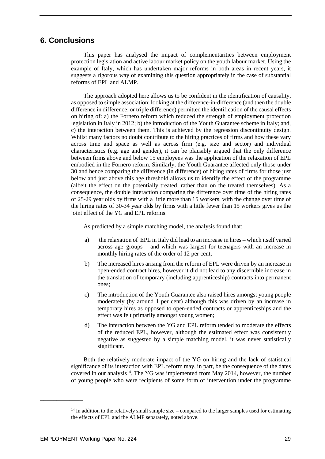## **6. Conclusions**

This paper has analysed the impact of complementarities between employment protection legislation and active labour market policy on the youth labour market. Using the example of Italy, which has undertaken major reforms in both areas in recent years, it suggests a rigorous way of examining this question appropriately in the case of substantial reforms of EPL and ALMP.

The approach adopted here allows us to be confident in the identification of causality, as opposed to simple association; looking at the difference-in-difference (and then the double difference in difference, or triple difference) permitted the identification of the causal effects on hiring of: a) the Fornero reform which reduced the strength of employment protection legislation in Italy in 2012; b) the introduction of the Youth Guarantee scheme in Italy; and, c) the interaction between them. This is achieved by the regression discontinuity design. Whilst many factors no doubt contribute to the hiring practices of firms and how these vary across time and space as well as across firm (e.g. size and sector) and individual characteristics (e.g. age and gender), it can be plausibly argued that the only difference between firms above and below 15 employees was the application of the relaxation of EPL embodied in the Fornero reform. Similarly, the Youth Guarantee affected only those under 30 and hence comparing the difference (in difference) of hiring rates of firms for those just below and just above this age threshold allows us to identify the effect of the programme (albeit the effect on the potentially treated, rather than on the treated themselves). As a consequence, the double interaction comparing the difference over time of the hiring rates of 25-29 year olds by firms with a little more than 15 workers, with the change over time of the hiring rates of 30-34 year olds by firms with a little fewer than 15 workers gives us the joint effect of the YG and EPL reforms.

As predicted by a simple matching model, the analysis found that:

- a) the relaxation of EPL in Italy did lead to an increase in hires which itself varied across age–groups – and which was largest for teenagers with an increase in monthly hiring rates of the order of 12 per cent;
- b) The increased hires arising from the reform of EPL were driven by an increase in open-ended contract hires, however it did not lead to any discernible increase in the translation of temporary (including apprenticeship) contracts into permanent ones;
- c) The introduction of the Youth Guarantee also raised hires amongst young people moderately (by around 1 per cent) although this was driven by an increase in temporary hires as opposed to open-ended contracts or apprenticeships and the effect was felt primarily amongst young women;
- d) The interaction between the YG and EPL reform tended to moderate the effects of the reduced EPL, however, although the estimated effect was consistently negative as suggested by a simple matching model, it was never statistically significant.

Both the relatively moderate impact of the YG on hiring and the lack of statistical significance of its interaction with EPL reform may, in part, be the consequence of the dates covered in our analysis<sup>14</sup>. The YG was implemented from May 2014, however, the number of young people who were recipients of some form of intervention under the programme

<span id="page-37-0"></span><sup>&</sup>lt;sup>14</sup> In addition to the relatively small sample size – compared to the larger samples used for estimating the effects of EPL and the ALMP separately, noted above.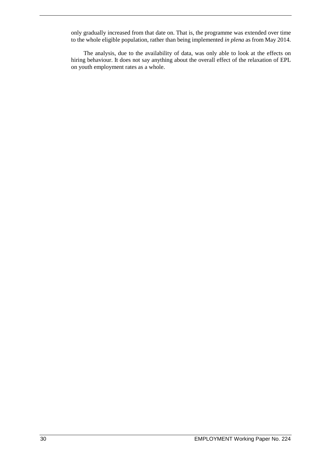only gradually increased from that date on. That is, the programme was extended over time to the whole eligible population, rather than being implemented *in plena* as from May 2014.

The analysis, due to the availability of data, was only able to look at the effects on hiring behaviour. It does not say anything about the overall effect of the relaxation of EPL on youth employment rates as a whole.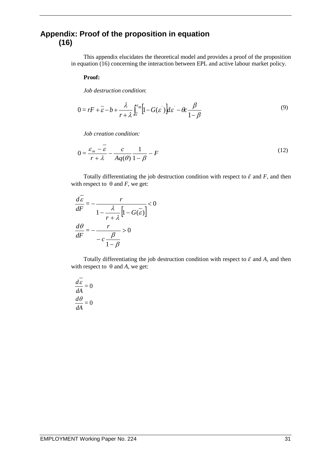## **Appendix: Proof of the proposition in equation (16)**

This appendix elucidates the theoretical model and provides a proof of the proposition in equation (16) concerning the interaction between EPL and active labour market policy.

#### **Proof:**

*Job destruction condition*:

$$
0 = rF + \overline{\varepsilon} - b + \frac{\lambda}{r + \lambda} \int_{\overline{\varepsilon}}^{\varepsilon_m} \left[ 1 - G(\varepsilon') \right] d\varepsilon' - \theta c \frac{\beta}{1 - \beta}
$$
 (9)

*Job creation condition:* 

$$
0 = \frac{\varepsilon_m - \overline{\varepsilon}}{r + \lambda} - \frac{c}{Aq(\theta)} \frac{1}{1 - \beta} - F
$$
\n(12)

Totally differentiating the job destruction condition with respect to  $\bar{\varepsilon}$  and *F*, and then with respect to  $\theta$  and *F*, we get:

$$
\frac{d\varepsilon}{dF} = -\frac{r}{1 - \frac{\lambda}{r + \lambda} \left[1 - G(\overline{\varepsilon})\right]} < 0
$$

$$
\frac{d\theta}{dF} = -\frac{r}{-c\frac{\beta}{1 - \beta}} > 0
$$

Totally differentiating the job destruction condition with respect to  $\bar{\varepsilon}$  and A, and then with respect to  $\theta$  and *A*, we get:

$$
\frac{d\overline{\mathcal{E}}}{d\mathcal{A}} = 0
$$

$$
\frac{d\theta}{d\mathcal{A}} = 0
$$

 $\overline{\phantom{a}}$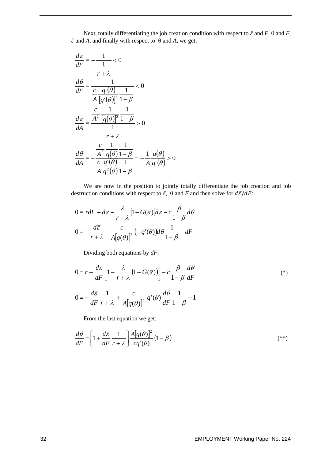Next, totally differentiating the job creation condition with respect to  $\bar{\varepsilon}$  and  $F$ ,  $\theta$  and  $F$ ,  $\bar{\varepsilon}$  and *A*, and finally with respect to  $\theta$  and *A*, we get:

$$
\frac{d\overline{\varepsilon}}{dF} = -\frac{1}{\frac{1}{r+\lambda}} < 0
$$
  

$$
\frac{d\theta}{dF} = \frac{1}{\frac{c}{A} \frac{q'(\theta)}{[q'(\theta)]^2} \frac{1}{1-\beta}} < 0
$$
  

$$
\frac{d\overline{\varepsilon}}{dA} = \frac{\frac{c}{A^2} \frac{1}{[q(\theta)]^2} \frac{1}{1-\beta}}{\frac{1}{r+\lambda}} > 0
$$
  

$$
\frac{d\theta}{dA} = -\frac{\frac{c}{A^2} \frac{1}{q(\theta)} \frac{1}{1-\beta}}{\frac{c}{A} \frac{q'(\theta)}{q'(\theta)} \frac{1}{1-\beta}} = -\frac{1}{A} \frac{q(\theta)}{q'(\theta)} > 0
$$

We are now in the position to jointly totally differentiate the job creation and job destruction conditions with respect to  $\bar{\varepsilon}$ ,  $\theta$  and *F* and then solve for  $d\bar{\varepsilon}/dF$ :

$$
0 = r dF + d\overline{\varepsilon} - \frac{\lambda}{r + \lambda} \Big[ 1 - G(\overline{\varepsilon}) \Big] d\overline{\varepsilon} - c \frac{\beta}{1 - \beta} d\theta
$$

$$
0 = -\frac{d\overline{\varepsilon}}{r + \lambda} - \frac{c}{A[q(\theta)]^2} \Big( -q'(\theta) \Big) d\theta \frac{1}{1 - \beta} - dF
$$

Dividing both equations by *dF*:

$$
0 = r + \frac{d\varepsilon}{dF} \left[ 1 - \frac{\lambda}{r + \lambda} \left( 1 - G(\overline{\varepsilon}) \right) \right] - c \frac{\beta}{1 - \beta} \frac{d\theta}{dF}
$$
 (\*)

$$
0 = -\frac{d\overline{\varepsilon}}{dF} \frac{1}{r + \lambda} + \frac{c}{A[q(\theta)]^2} q'(\theta) \frac{d\theta}{dF} \frac{1}{1 - \beta} - 1
$$

From the last equation we get:

$$
\frac{d\theta}{dF} = \left[1 + \frac{d\overline{\varepsilon}}{dF} \frac{1}{r + \lambda}\right] \frac{A[q(\theta)]^2}{cq'(\theta)} (1 - \beta) \tag{**}
$$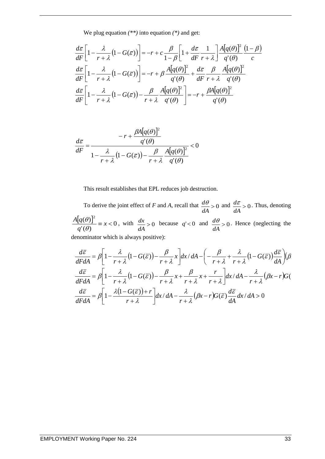We plug equation *(\*\*)* into equation *(\*)* and get:

$$
\frac{d\bar{\varepsilon}}{dF} \left[ 1 - \frac{\lambda}{r + \lambda} \left( 1 - G(\bar{\varepsilon}) \right) \right] = -r + c \frac{\beta}{1 - \beta} \left[ 1 + \frac{d\bar{\varepsilon}}{dF} \frac{1}{r + \lambda} \right] \frac{A[q(\theta)]^2}{q'(\theta)} \frac{(1 - \beta)}{c}
$$

$$
\frac{d\bar{\varepsilon}}{dF} \left[ 1 - \frac{\lambda}{r + \lambda} \left( 1 - G(\bar{\varepsilon}) \right) \right] = -r + \beta \frac{A[q(\theta)]^2}{q'(\theta)} + \frac{d\bar{\varepsilon}}{dF} \frac{\beta}{r + \lambda} \frac{A[q(\theta)]^2}{q'(\theta)}
$$

$$
\frac{d\bar{\varepsilon}}{dF} \left[ 1 - \frac{\lambda}{r + \lambda} \left( 1 - G(\bar{\varepsilon}) \right) - \frac{\beta}{r + \lambda} \frac{A[q(\theta)]^2}{q'(\theta)} \right] = -r + \frac{\beta A[q(\theta)]^2}{q'(\theta)}
$$

$$
\frac{d\overline{\varepsilon}}{dF} = \frac{-r + \frac{\beta A[q(\theta)]^2}{q'(\theta)}}{1 - \frac{\lambda}{r + \lambda} (1 - G(\overline{\varepsilon})) - \frac{\beta}{r + \lambda} \frac{A[q(\theta)]^2}{q'(\theta)}} < 0
$$

This result establishes that EPL reduces job destruction.

To derive the joint effect of *F* and *A*, recall that  $\frac{dv}{dt} > 0$ *dA*  $\frac{d\theta}{dt} > 0$  and  $\frac{d\overline{\epsilon}}{dt} > 0$ *dA*  $\frac{d\bar{\varepsilon}}{dt} > 0$ . Thus, denoting  $\frac{[q(\theta)]^2}{q'(\theta)} \equiv x < 0$ *q A q*  $\left[\frac{\theta}{\theta}\right]^2 \equiv x < 0$ , with  $\frac{dx}{dA} > 0$ *dA*  $\frac{dx}{dt} > 0$  because  $q' < 0$  and  $\frac{d\theta}{dt} > 0$ *dA*  $\frac{d\theta}{dt} > 0$ . Hence (neglecting the denominator which is always positive):

$$
\frac{d\bar{\varepsilon}}{dF dA} = \beta \left[ 1 - \frac{\lambda}{r + \lambda} \left( 1 - G(\bar{\varepsilon}) \right) - \frac{\beta}{r + \lambda} x \right] dx / dA - \left( -\frac{\beta}{r + \lambda} + \frac{\lambda}{r + \lambda} \left( 1 - G(\bar{\varepsilon}) \right) \frac{d\bar{\varepsilon}}{dA} \right) (\beta
$$
\n
$$
\frac{d\bar{\varepsilon}}{dF dA} = \beta \left[ 1 - \frac{\lambda}{r + \lambda} \left( 1 - G(\bar{\varepsilon}) \right) - \frac{\beta}{r + \lambda} x + \frac{\beta}{r + \lambda} x + \frac{r}{r + \lambda} \right] dx / dA - \frac{\lambda}{r + \lambda} (\beta x - r) G(\bar{\varepsilon})
$$
\n
$$
\frac{d\bar{\varepsilon}}{dF dA} = \beta \left[ 1 - \frac{\lambda \left( 1 - G(\bar{\varepsilon}) \right) + r}{r + \lambda} \right] dx / dA - \frac{\lambda}{r + \lambda} (\beta x - r) G(\bar{\varepsilon}) \frac{d\bar{\varepsilon}}{dA} dx / dA > 0
$$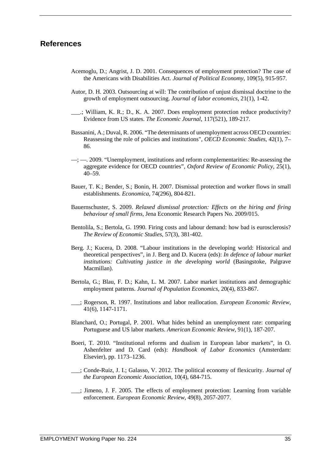## **References**

- Acemoglu, D.; Angrist, J. D. 2001. Consequences of employment protection? The case of the Americans with Disabilities Act. *Journal of Political Economy*, 109(5), 915-957.
- Autor, D. H. 2003. Outsourcing at will: The contribution of unjust dismissal doctrine to the growth of employment outsourcing. *Journal of labor economics*, 21(1), 1-42.
- \_\_\_.; William, K. R.; D., K. A. 2007. Does employment protection reduce productivity? Evidence from US states. *The Economic Journal*, 117(521), 189-217.
- Bassanini, A.; Duval, R. 2006. "The determinants of unemployment across OECD countries: Reassessing the role of policies and institutions", *OECD Economic Studies*, 42(1), 7– 86.
- —; —. 2009. "Unemployment, institutions and reform complementarities: Re-assessing the aggregate evidence for OECD countries", *Oxford Review of Economic Policy*, 25(1), 40–59.
- Bauer, T. K.; Bender, S.; Bonin, H. 2007. Dismissal protection and worker flows in small establishments. *Economica*, 74(296), 804-821.
- Bauernschuster, S. 2009. *Relaxed dismissal protection: Effects on the hiring and firing behaviour of small firms,* Jena Economic Research Papers No. 2009/015.
- Bentolila, S.; Bertola, G. 1990. Firing costs and labour demand: how bad is eurosclerosis? *The Review of Economic Studies*, 57(3), 381-402.
- Berg. J.; Kucera, D. 2008. "Labour institutions in the developing world: Historical and theoretical perspectives", in J. Berg and D. Kucera (eds): *In defence of labour market institutions: Cultivating justice in the developing world* (Basingstoke, Palgrave Macmillan).
- Bertola, G.; Blau, F. D.; Kahn, L. M. 2007. Labor market institutions and demographic employment patterns. *Journal of Population Economics,* 20(4), 833-867.
- \_\_\_; Rogerson, R. 1997. Institutions and labor reallocation. *European Economic Review*, 41(6), 1147-1171.
- Blanchard, O.; Portugal, P. 2001. What hides behind an unemployment rate: comparing Portuguese and US labor markets. *American Economic Review*, 91(1), 187-207.
- Boeri, T*.* 2010. "Institutional reforms and dualism in European labor markets", in O. Ashenfelter and D. Card (eds): *Handbook of Labor Economics* (Amsterdam: Elsevier), pp. 1173–1236.
- \_\_\_; Conde-Ruiz, J. I.; Galasso, V. 2012. The political economy of flexicurity. *Journal of the European Economic Association*, 10(4), 684-715.
- \_\_\_; Jimeno, J. F. 2005. The effects of employment protection: Learning from variable enforcement. *European Economic Review*, 49(8), 2057-2077.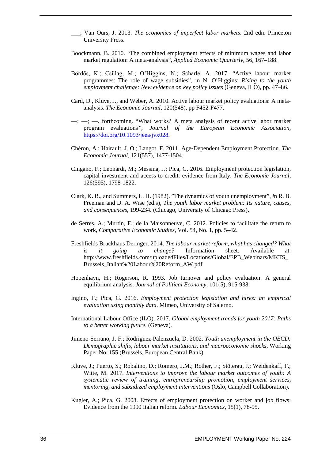- \_\_\_; Van Ours, J. 2013. *The economics of imperfect labor markets*. 2nd edn. Princeton University Press.
- Boockmann, B. 2010. "The combined employment effects of minimum wages and labor market regulation: A meta-analysis", *Applied Economic Quarterly*, 56, 167–188.
- Bördős, K.; Csillag, M.; O'Higgins, N.; Scharle, A. 2017. "Active labour market programmes: The role of wage subsidies", in N. O'Higgins: *Rising to the youth employment challenge: New evidence on key policy issues* (Geneva, ILO), pp. 47–86.
- Card, D., Kluve, J., and Weber, A. 2010. Active labour market policy evaluations: A meta‐ analysis. *The Economic Journal*, 120(548), pp F452-F477.
- $\rightarrow$ ;  $\rightarrow$ ;  $\rightarrow$  forthcoming. "What works? A meta analysis of recent active labor market program evaluations*"*, *Journal of the European Economic Association*, [https://doi.org/10.1093/jeea/jvx028.](https://doi.org/10.1093/jeea/jvx028)
- Chéron, A.; Hairault, J. O.; Langot, F. 2011. Age‐Dependent Employment Protection. *The Economic Journal*, 121(557), 1477-1504.
- Cingano, F.; Leonardi, M.; Messina, J.; Pica, G. 2016. Employment protection legislation, capital investment and access to credit: evidence from Italy. *The Economic Journal*, 126(595), 1798-1822.
- Clark, K. B., and Summers, L. H. (1982). "The dynamics of youth unemployment", *i*n R. B. Freeman and D. A. Wise (ed.s), *The youth labor market problem: Its nature, causes, and consequences*, 199-234. (Chicago, University of Chicago Press).
- de Serres, A.; Murtin, F.; de la Maisonneuve, C. 2012. Policies to facilitate the return to work, *Comparative Economic Studies*, Vol. 54, No. 1, pp. 5–42.
- Freshfields Bruckhaus Deringer. 2014. *The labour market reform, what has changed? What is it going to change?* Information sheet. Available at: [http://www.freshfields.com/uploadedFiles/Locations/Global/EPB\\_Webinars/MKTS\\_](http://www.freshfields.com/uploadedFiles/Locations/Global/EPB_Webinars/MKTS_Brussels_Italian%20Labour%20Reform_AW.pdf) [Brussels\\_Italian%20Labour%20Reform\\_AW.pdf](http://www.freshfields.com/uploadedFiles/Locations/Global/EPB_Webinars/MKTS_Brussels_Italian%20Labour%20Reform_AW.pdf)
- Hopenhayn, H.; Rogerson, R. 1993. Job turnover and policy evaluation: A general equilibrium analysis. *Journal of Political Economy*, 101(5), 915-938.
- Ingino, F.; Pica, G. 2016. *Employment protection legislation and hires: an empirical evaluation using monthly data*. Mimeo, University of Salerno.
- International Labour Office (ILO). 2017. *Global employment trends for youth 2017: Paths to a better working future.* (Geneva).
- Jimeno-Serrano, J. F.; Rodriguez-Palenzuela, D. 2002. *Youth unemployment in the OECD: Demographic shifts, labour market institutions, and macroeconomic shocks*, Working Paper No. 155 (Brussels, European Central Bank).
- Kluve, J.; Puerto, S.; Robalino, D.; Romero, J.M.; Rother, F.; Stöterau, J.; Weidenkaff, F.; Witte, M. 2017. *Interventions to improve the labour market outcomes of youth: A systematic review of training, entrepreneurship promotion, employment services, mentoring, and subsidized employment interventions* (Oslo, Campbell Collaboration).
- Kugler, A.; Pica, G. 2008. Effects of employment protection on worker and job flows: Evidence from the 1990 Italian reform. *Labour Economics*, 15(1), 78-95.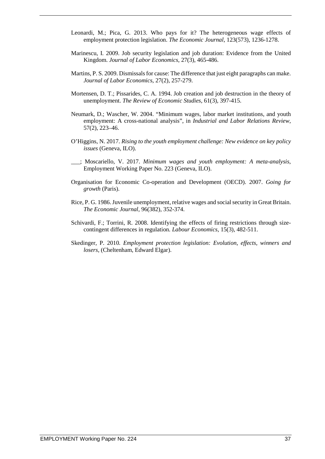- Leonardi, M.; Pica, G. 2013. Who pays for it? The heterogeneous wage effects of employment protection legislation. *The Economic Journal*, 123(573), 1236-1278.
- Marinescu, I. 2009. Job security legislation and job duration: Evidence from the United Kingdom. *Journal of Labor Economics*, 27(3), 465-486.
- Martins, P. S. 2009. Dismissals for cause: The difference that just eight paragraphs can make. *Journal of Labor Economics*, 27(2), 257-279.
- Mortensen, D. T.; Pissarides, C. A. 1994. Job creation and job destruction in the theory of unemployment. *The Review of Economic Studies*, 61(3), 397-415.
- Neumark, D.; Wascher, W. 2004. "Minimum wages, labor market institutions, and youth employment: A cross-national analysis", in *Industrial and Labor Relations Review*, 57(2), 223–46.
- O'Higgins, N. 2017. *Rising to the youth employment challenge: New evidence on key policy issues* (Geneva, ILO).
- \_\_\_; Moscariello, V. 2017. *Minimum wages and youth employment: A meta-analysis*, Employment Working Paper No. 223 (Geneva, ILO).
- Organisation for Economic Co-operation and Development (OECD). 2007. *Going for growth* (Paris).
- Rice, P. G. 1986. Juvenile unemployment, relative wages and social security in Great Britain. *The Economic Journal*, 96(382), 352-374.
- Schivardi, F.; Torrini, R. 2008. Identifying the effects of firing restrictions through sizecontingent differences in regulation*. Labour Economics*, 15(3), 482-511.
- Skedinger, P. 2010*. Employment protection legislation: Evolution, effects, winners and losers*, (Cheltenham, Edward Elgar).